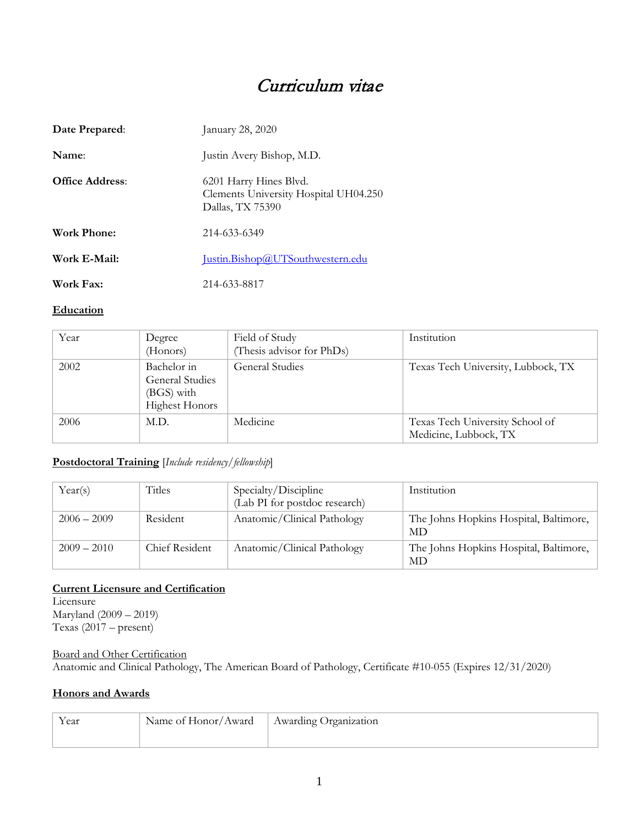# Curriculum vitae

| Date Prepared:         | January 28, 2020                                                                    |
|------------------------|-------------------------------------------------------------------------------------|
| Name:                  | Justin Avery Bishop, M.D.                                                           |
| <b>Office Address:</b> | 6201 Harry Hines Blvd.<br>Clements University Hospital UH04.250<br>Dallas, TX 75390 |
| Work Phone:            | 214-633-6349                                                                        |
| Work E-Mail:           | Justin.Bishop@UTSouthwestern.edu                                                    |
| Work Fax:              | 214-633-8817                                                                        |

#### **Education**

| Year | Degree<br>(Honors)                                                           | Field of Study<br>(Thesis advisor for PhDs) | Institution                                              |
|------|------------------------------------------------------------------------------|---------------------------------------------|----------------------------------------------------------|
| 2002 | Bachelor in<br><b>General Studies</b><br>(BGS) with<br><b>Highest Honors</b> | General Studies                             | Texas Tech University, Lubbock, TX                       |
| 2006 | M.D.                                                                         | Medicine                                    | Texas Tech University School of<br>Medicine, Lubbock, TX |

#### **Postdoctoral Training** [*Include residency/fellowship*]

| Year(s)       | Titles         | Specialty/Discipline<br>(Lab PI for postdoc research) | Institution                                  |
|---------------|----------------|-------------------------------------------------------|----------------------------------------------|
| $2006 - 2009$ | Resident       | Anatomic/Clinical Pathology                           | The Johns Hopkins Hospital, Baltimore,<br>MD |
| $2009 - 2010$ | Chief Resident | Anatomic/Clinical Pathology                           | The Johns Hopkins Hospital, Baltimore,<br>MD |

#### **Current Licensure and Certification** Licensure

Maryland (2009 – 2019) Texas (2017 – present)

#### Board and Other Certification

Anatomic and Clinical Pathology, The American Board of Pathology, Certificate #10-055 (Expires 12/31/2020)

#### **Honors and Awards**

| Year | Name of Honor/Award | Awarding Organization |
|------|---------------------|-----------------------|
|      |                     |                       |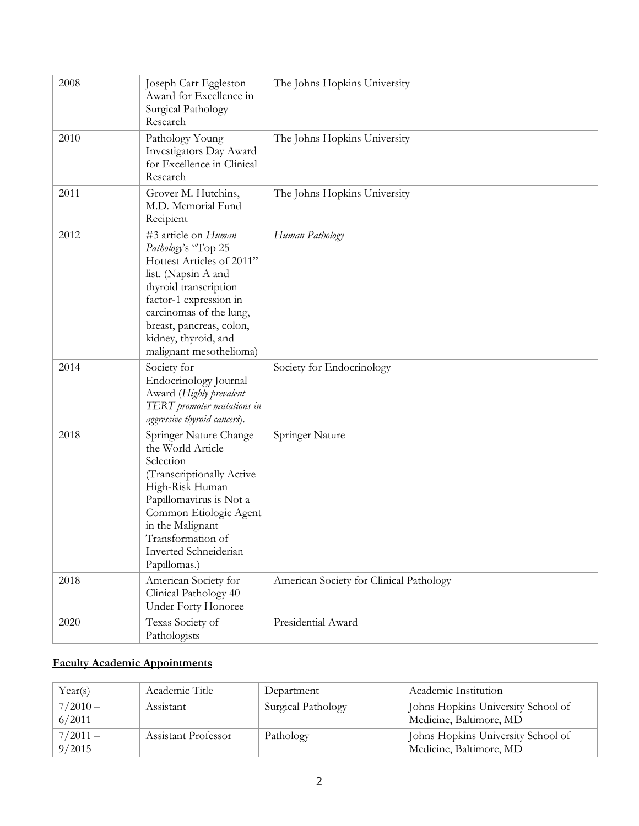| 2008 | Joseph Carr Eggleston<br>Award for Excellence in<br>Surgical Pathology<br>Research                                                                                                                                                                          | The Johns Hopkins University            |
|------|-------------------------------------------------------------------------------------------------------------------------------------------------------------------------------------------------------------------------------------------------------------|-----------------------------------------|
| 2010 | Pathology Young<br>Investigators Day Award<br>for Excellence in Clinical<br>Research                                                                                                                                                                        | The Johns Hopkins University            |
| 2011 | Grover M. Hutchins,<br>M.D. Memorial Fund<br>Recipient                                                                                                                                                                                                      | The Johns Hopkins University            |
| 2012 | #3 article on Human<br>Pathology's "Top 25<br>Hottest Articles of 2011"<br>list. (Napsin A and<br>thyroid transcription<br>factor-1 expression in<br>carcinomas of the lung,<br>breast, pancreas, colon,<br>kidney, thyroid, and<br>malignant mesothelioma) | Human Pathology                         |
| 2014 | Society for<br>Endocrinology Journal<br>Award (Highly prevalent<br>TERT promoter mutations in<br>aggressive thyroid cancers).                                                                                                                               | Society for Endocrinology               |
| 2018 | Springer Nature Change<br>the World Article<br>Selection<br>(Transcriptionally Active<br>High-Risk Human<br>Papillomavirus is Not a<br>Common Etiologic Agent<br>in the Malignant<br>Transformation of<br>Inverted Schneiderian<br>Papillomas.)             | Springer Nature                         |
| 2018 | American Society for<br>Clinical Pathology 40<br>Under Forty Honoree                                                                                                                                                                                        | American Society for Clinical Pathology |
| 2020 | Texas Society of<br>Pathologists                                                                                                                                                                                                                            | Presidential Award                      |

# **Faculty Academic Appointments**

| Year(s)              | Academic Title      | Department         | Academic Institution                                          |
|----------------------|---------------------|--------------------|---------------------------------------------------------------|
| $7/2010 -$<br>6/2011 | Assistant           | Surgical Pathology | Johns Hopkins University School of<br>Medicine, Baltimore, MD |
| $7/2011 -$<br>9/2015 | Assistant Professor | Pathology          | Johns Hopkins University School of<br>Medicine, Baltimore, MD |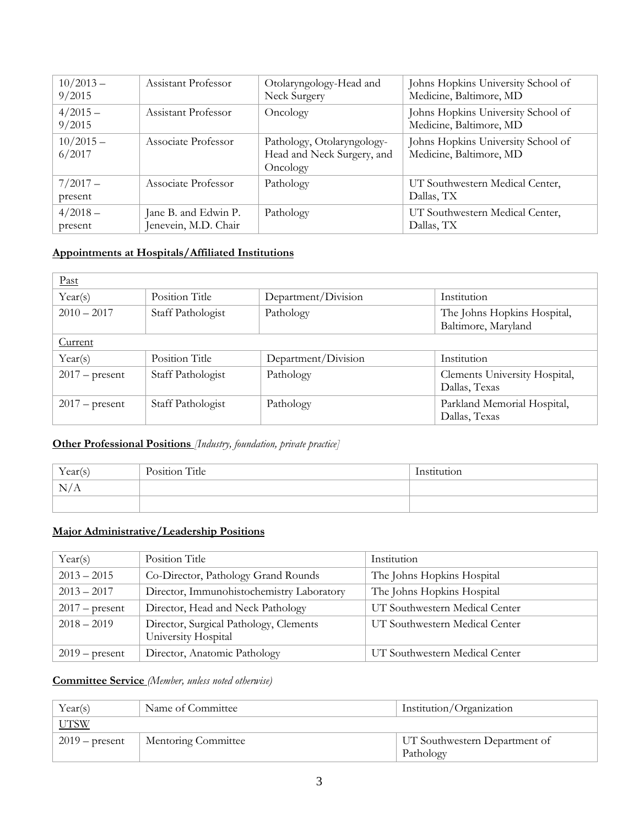| $10/2013 -$<br>9/2015 | Assistant Professor                          | Otolaryngology-Head and<br>Neck Surgery                              | Johns Hopkins University School of<br>Medicine, Baltimore, MD |
|-----------------------|----------------------------------------------|----------------------------------------------------------------------|---------------------------------------------------------------|
| $4/2015-$<br>9/2015   | Assistant Professor                          | Oncology                                                             | Johns Hopkins University School of<br>Medicine, Baltimore, MD |
| $10/2015 -$<br>6/2017 | Associate Professor                          | Pathology, Otolaryngology-<br>Head and Neck Surgery, and<br>Oncology | Johns Hopkins University School of<br>Medicine, Baltimore, MD |
| $7/2017-$<br>present  | Associate Professor                          | Pathology                                                            | UT Southwestern Medical Center,<br>Dallas, TX                 |
| $4/2018-$<br>present  | Jane B. and Edwin P.<br>Jenevein, M.D. Chair | Pathology                                                            | UT Southwestern Medical Center,<br>Dallas, TX                 |

#### **Appointments at Hospitals/Affiliated Institutions**

| Past             |                   |                     |                                                    |
|------------------|-------------------|---------------------|----------------------------------------------------|
| Year(s)          | Position Title    | Department/Division | Institution                                        |
| $2010 - 2017$    | Staff Pathologist | Pathology           | The Johns Hopkins Hospital,<br>Baltimore, Maryland |
| Current          |                   |                     |                                                    |
| Year(s)          | Position Title    | Department/Division | Institution                                        |
| $2017$ – present | Staff Pathologist | Pathology           | Clements University Hospital,<br>Dallas, Texas     |
| $2017$ – present | Staff Pathologist | Pathology           | Parkland Memorial Hospital,<br>Dallas, Texas       |

### **Other Professional Positions** *[Industry, foundation, private practice]*

| Year(s) | Position Title | Institution |
|---------|----------------|-------------|
| N/A     |                |             |
|         |                |             |

### **Major Administrative/Leadership Positions**

| Year(s)          | Position Title                                                | Institution                    |
|------------------|---------------------------------------------------------------|--------------------------------|
| $2013 - 2015$    | Co-Director, Pathology Grand Rounds                           | The Johns Hopkins Hospital     |
| $2013 - 2017$    | Director, Immunohistochemistry Laboratory                     | The Johns Hopkins Hospital     |
| $2017$ – present | Director, Head and Neck Pathology                             | UT Southwestern Medical Center |
| $2018 - 2019$    | Director, Surgical Pathology, Clements<br>University Hospital | UT Southwestern Medical Center |
| $2019$ – present | Director, Anatomic Pathology                                  | UT Southwestern Medical Center |

#### **Committee Service** *(Member, unless noted otherwise)*

| Year(s)          | Name of Committee   | Institution/Organization                   |
|------------------|---------------------|--------------------------------------------|
| <b>UTSW</b>      |                     |                                            |
| $2019$ – present | Mentoring Committee | UT Southwestern Department of<br>Pathology |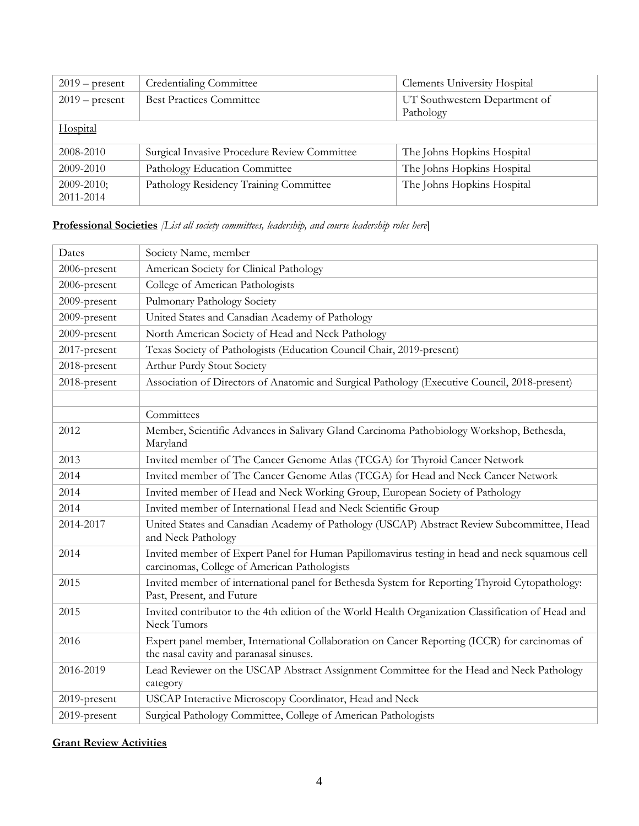| $2019$ – present             | Credentialing Committee                      | <b>Clements University Hospital</b> |
|------------------------------|----------------------------------------------|-------------------------------------|
| $2019$ – present             | <b>Best Practices Committee</b>              | UT Southwestern Department of       |
|                              |                                              | Pathology                           |
| Hospital                     |                                              |                                     |
| 2008-2010                    | Surgical Invasive Procedure Review Committee | The Johns Hopkins Hospital          |
| 2009-2010                    | Pathology Education Committee                | The Johns Hopkins Hospital          |
| $2009 - 2010$ ;<br>2011-2014 | Pathology Residency Training Committee       | The Johns Hopkins Hospital          |

### **Professional Societies** *[List all society committees, leadership, and course leadership roles here*]

| Dates        | Society Name, member                                                                                                                           |  |  |
|--------------|------------------------------------------------------------------------------------------------------------------------------------------------|--|--|
| 2006-present | American Society for Clinical Pathology                                                                                                        |  |  |
| 2006-present | College of American Pathologists                                                                                                               |  |  |
| 2009-present | Pulmonary Pathology Society                                                                                                                    |  |  |
| 2009-present | United States and Canadian Academy of Pathology                                                                                                |  |  |
| 2009-present | North American Society of Head and Neck Pathology                                                                                              |  |  |
| 2017-present | Texas Society of Pathologists (Education Council Chair, 2019-present)                                                                          |  |  |
| 2018-present | Arthur Purdy Stout Society                                                                                                                     |  |  |
| 2018-present | Association of Directors of Anatomic and Surgical Pathology (Executive Council, 2018-present)                                                  |  |  |
|              |                                                                                                                                                |  |  |
|              | Committees                                                                                                                                     |  |  |
| 2012         | Member, Scientific Advances in Salivary Gland Carcinoma Pathobiology Workshop, Bethesda,<br>Maryland                                           |  |  |
| 2013         | Invited member of The Cancer Genome Atlas (TCGA) for Thyroid Cancer Network                                                                    |  |  |
| 2014         | Invited member of The Cancer Genome Atlas (TCGA) for Head and Neck Cancer Network                                                              |  |  |
| 2014         | Invited member of Head and Neck Working Group, European Society of Pathology                                                                   |  |  |
| 2014         | Invited member of International Head and Neck Scientific Group                                                                                 |  |  |
| 2014-2017    | United States and Canadian Academy of Pathology (USCAP) Abstract Review Subcommittee, Head<br>and Neck Pathology                               |  |  |
| 2014         | Invited member of Expert Panel for Human Papillomavirus testing in head and neck squamous cell<br>carcinomas, College of American Pathologists |  |  |
| 2015         | Invited member of international panel for Bethesda System for Reporting Thyroid Cytopathology:<br>Past, Present, and Future                    |  |  |
| 2015         | Invited contributor to the 4th edition of the World Health Organization Classification of Head and<br>Neck Tumors                              |  |  |
| 2016         | Expert panel member, International Collaboration on Cancer Reporting (ICCR) for carcinomas of<br>the nasal cavity and paranasal sinuses.       |  |  |
| 2016-2019    | Lead Reviewer on the USCAP Abstract Assignment Committee for the Head and Neck Pathology<br>category                                           |  |  |
| 2019-present | USCAP Interactive Microscopy Coordinator, Head and Neck                                                                                        |  |  |
| 2019-present | Surgical Pathology Committee, College of American Pathologists                                                                                 |  |  |

### **Grant Review Activities**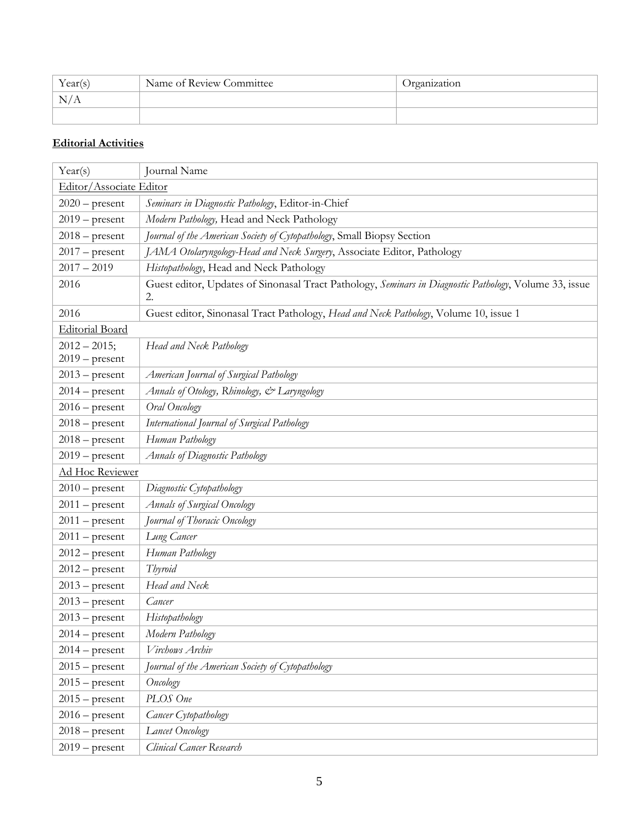| Year(s) | Name of Review Committee | Organization |
|---------|--------------------------|--------------|
| N/A     |                          |              |
|         |                          |              |

### **Editorial Activities**

| Year(s)                             | Journal Name                                                                                                 |  |
|-------------------------------------|--------------------------------------------------------------------------------------------------------------|--|
| Editor/Associate Editor             |                                                                                                              |  |
| $2020$ – present                    | Seminars in Diagnostic Pathology, Editor-in-Chief                                                            |  |
| $2019$ – present                    | Modern Pathology, Head and Neck Pathology                                                                    |  |
| $2018$ – present                    | Journal of the American Society of Cytopathology, Small Biopsy Section                                       |  |
| $2017$ – present                    | JAMA Otolaryngology-Head and Neck Surgery, Associate Editor, Pathology                                       |  |
| $2017 - 2019$                       | Histopathology, Head and Neck Pathology                                                                      |  |
| 2016                                | Guest editor, Updates of Sinonasal Tract Pathology, Seminars in Diagnostic Pathology, Volume 33, issue<br>2. |  |
| 2016                                | Guest editor, Sinonasal Tract Pathology, Head and Neck Pathology, Volume 10, issue 1                         |  |
| <b>Editorial Board</b>              |                                                                                                              |  |
| $2012 - 2015$ ;<br>$2019$ – present | Head and Neck Pathology                                                                                      |  |
| $2013$ – present                    | American Journal of Surgical Pathology                                                                       |  |
| $2014$ – present                    | Annals of Otology, Rhinology, & Laryngology                                                                  |  |
| $2016$ – present                    | Oral Oncology                                                                                                |  |
| $2018$ – present                    | International Journal of Surgical Pathology                                                                  |  |
| $2018$ – present                    | Human Pathology                                                                                              |  |
| $2019$ – present                    | <b>Annals of Diagnostic Pathology</b>                                                                        |  |
| Ad Hoc Reviewer                     |                                                                                                              |  |
| $2010$ – present                    | Diagnostic Cytopathology                                                                                     |  |
| $2011$ – present                    | <b>Annals of Surgical Oncology</b>                                                                           |  |
| $2011$ – present                    | Journal of Thoracic Oncology                                                                                 |  |
| $2011$ – present                    | Lung Cancer                                                                                                  |  |
| $2012$ – present                    | Human Pathology                                                                                              |  |
| $2012$ – present                    | Thyroid                                                                                                      |  |
| $2013$ – present                    | Head and Neck                                                                                                |  |
| $2013$ – present                    | Cancer                                                                                                       |  |
| $2013$ – present                    | Histopathology                                                                                               |  |
| $2014$ – present                    | Modern Pathology                                                                                             |  |
| $2014$ – present                    | Virchows Archiv                                                                                              |  |
| $2015$ – present                    | Journal of the American Society of Cytopathology                                                             |  |
| $2015$ – present                    | Oncology                                                                                                     |  |
| $2015$ – present                    | PLOS One                                                                                                     |  |
| $2016$ – present                    | Cancer Cytopathology                                                                                         |  |
| $2018$ – present                    | Lancet Oncology                                                                                              |  |
| $2019$ – present                    | Clinical Cancer Research                                                                                     |  |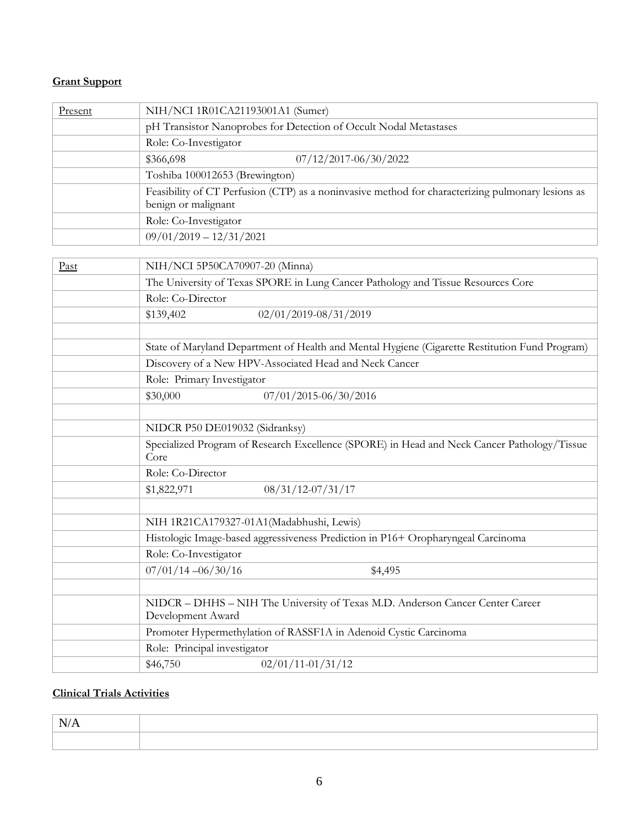#### **Grant Support**

| Present | NIH/NCI 1R01CA21193001A1 (Sumer)                                                                                         |  |
|---------|--------------------------------------------------------------------------------------------------------------------------|--|
|         | pH Transistor Nanoprobes for Detection of Occult Nodal Metastases                                                        |  |
|         | Role: Co-Investigator                                                                                                    |  |
|         | 07/12/2017-06/30/2022<br>\$366,698                                                                                       |  |
|         | Toshiba 100012653 (Brewington)                                                                                           |  |
|         | Feasibility of CT Perfusion (CTP) as a noninvasive method for characterizing pulmonary lesions as<br>benign or malignant |  |
|         | Role: Co-Investigator                                                                                                    |  |
|         | $09/01/2019 - 12/31/2021$                                                                                                |  |

| Past | NIH/NCI 5P50CA70907-20 (Minna)                                                                      |  |  |
|------|-----------------------------------------------------------------------------------------------------|--|--|
|      | The University of Texas SPORE in Lung Cancer Pathology and Tissue Resources Core                    |  |  |
|      | Role: Co-Director                                                                                   |  |  |
|      | 02/01/2019-08/31/2019<br>\$139,402                                                                  |  |  |
|      |                                                                                                     |  |  |
|      | State of Maryland Department of Health and Mental Hygiene (Cigarette Restitution Fund Program)      |  |  |
|      | Discovery of a New HPV-Associated Head and Neck Cancer                                              |  |  |
|      | Role: Primary Investigator                                                                          |  |  |
|      | 07/01/2015-06/30/2016<br>\$30,000                                                                   |  |  |
|      |                                                                                                     |  |  |
|      | NIDCR P50 DE019032 (Sidranksy)                                                                      |  |  |
|      | Specialized Program of Research Excellence (SPORE) in Head and Neck Cancer Pathology/Tissue<br>Core |  |  |
|      | Role: Co-Director                                                                                   |  |  |
|      | $08/31/12-07/31/17$<br>\$1,822,971                                                                  |  |  |
|      |                                                                                                     |  |  |
|      | NIH 1R21CA179327-01A1(Madabhushi, Lewis)                                                            |  |  |
|      | Histologic Image-based aggressiveness Prediction in P16+ Oropharyngeal Carcinoma                    |  |  |
|      | Role: Co-Investigator                                                                               |  |  |
|      | $07/01/14 - 06/30/16$<br>\$4,495                                                                    |  |  |
|      |                                                                                                     |  |  |
|      | NIDCR - DHHS - NIH The University of Texas M.D. Anderson Cancer Center Career<br>Development Award  |  |  |
|      | Promoter Hypermethylation of RASSF1A in Adenoid Cystic Carcinoma                                    |  |  |
|      | Role: Principal investigator                                                                        |  |  |
|      | \$46,750<br>$02/01/11 - 01/31/12$                                                                   |  |  |

### **Clinical Trials Activities**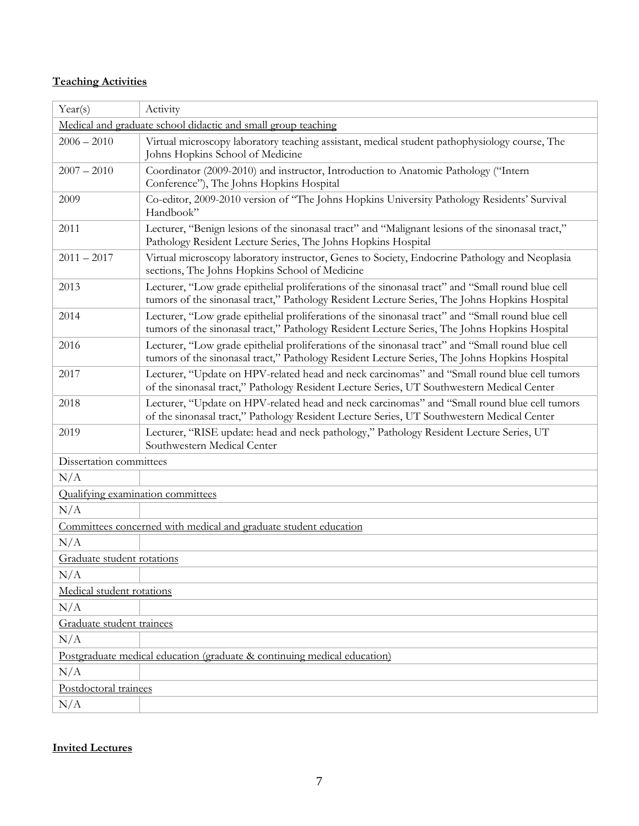### **Teaching Activities**

| Year(s)                                                                  | Activity                                                                                                                                                                                           |  |  |
|--------------------------------------------------------------------------|----------------------------------------------------------------------------------------------------------------------------------------------------------------------------------------------------|--|--|
| Medical and graduate school didactic and small group teaching            |                                                                                                                                                                                                    |  |  |
| $2006 - 2010$                                                            | Virtual microscopy laboratory teaching assistant, medical student pathophysiology course, The<br>Johns Hopkins School of Medicine                                                                  |  |  |
| $2007 - 2010$                                                            | Coordinator (2009-2010) and instructor, Introduction to Anatomic Pathology ("Intern<br>Conference"), The Johns Hopkins Hospital                                                                    |  |  |
| 2009                                                                     | Co-editor, 2009-2010 version of "The Johns Hopkins University Pathology Residents' Survival<br>Handbook"                                                                                           |  |  |
| 2011                                                                     | Lecturer, "Benign lesions of the sinonasal tract" and "Malignant lesions of the sinonasal tract,"<br>Pathology Resident Lecture Series, The Johns Hopkins Hospital                                 |  |  |
| $2011 - 2017$                                                            | Virtual microscopy laboratory instructor, Genes to Society, Endocrine Pathology and Neoplasia<br>sections, The Johns Hopkins School of Medicine                                                    |  |  |
| 2013                                                                     | Lecturer, "Low grade epithelial proliferations of the sinonasal tract" and "Small round blue cell<br>tumors of the sinonasal tract," Pathology Resident Lecture Series, The Johns Hopkins Hospital |  |  |
| 2014                                                                     | Lecturer, "Low grade epithelial proliferations of the sinonasal tract" and "Small round blue cell<br>tumors of the sinonasal tract," Pathology Resident Lecture Series, The Johns Hopkins Hospital |  |  |
| 2016                                                                     | Lecturer, "Low grade epithelial proliferations of the sinonasal tract" and "Small round blue cell<br>tumors of the sinonasal tract," Pathology Resident Lecture Series, The Johns Hopkins Hospital |  |  |
| 2017                                                                     | Lecturer, "Update on HPV-related head and neck carcinomas" and "Small round blue cell tumors<br>of the sinonasal tract," Pathology Resident Lecture Series, UT Southwestern Medical Center         |  |  |
| 2018                                                                     | Lecturer, "Update on HPV-related head and neck carcinomas" and "Small round blue cell tumors<br>of the sinonasal tract," Pathology Resident Lecture Series, UT Southwestern Medical Center         |  |  |
| 2019                                                                     | Lecturer, "RISE update: head and neck pathology," Pathology Resident Lecture Series, UT<br>Southwestern Medical Center                                                                             |  |  |
| Dissertation committees                                                  |                                                                                                                                                                                                    |  |  |
| N/A                                                                      |                                                                                                                                                                                                    |  |  |
| Qualifying examination committees                                        |                                                                                                                                                                                                    |  |  |
| N/A                                                                      |                                                                                                                                                                                                    |  |  |
|                                                                          | Committees concerned with medical and graduate student education                                                                                                                                   |  |  |
| N/A                                                                      |                                                                                                                                                                                                    |  |  |
| Graduate student rotations                                               |                                                                                                                                                                                                    |  |  |
| N/A                                                                      |                                                                                                                                                                                                    |  |  |
| Medical student rotations                                                |                                                                                                                                                                                                    |  |  |
| N/A                                                                      |                                                                                                                                                                                                    |  |  |
| Graduate student trainees                                                |                                                                                                                                                                                                    |  |  |
| N/A                                                                      |                                                                                                                                                                                                    |  |  |
| Postgraduate medical education (graduate & continuing medical education) |                                                                                                                                                                                                    |  |  |
| N/A                                                                      |                                                                                                                                                                                                    |  |  |
| Postdoctoral trainees                                                    |                                                                                                                                                                                                    |  |  |
| N/A                                                                      |                                                                                                                                                                                                    |  |  |

#### **Invited Lectures**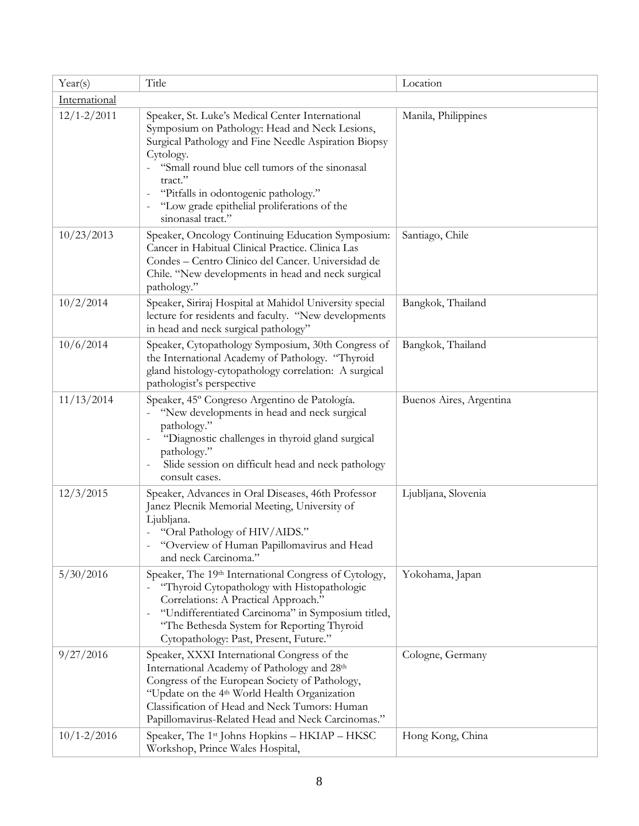| Year(s)         | Title                                                                                                                                                                                                                                                                                                                                            | Location                |  |
|-----------------|--------------------------------------------------------------------------------------------------------------------------------------------------------------------------------------------------------------------------------------------------------------------------------------------------------------------------------------------------|-------------------------|--|
| International   |                                                                                                                                                                                                                                                                                                                                                  |                         |  |
| $12/1 - 2/2011$ | Speaker, St. Luke's Medical Center International<br>Symposium on Pathology: Head and Neck Lesions,<br>Surgical Pathology and Fine Needle Aspiration Biopsy<br>Cytology.<br>"Small round blue cell tumors of the sinonasal<br>tract."<br>"Pitfalls in odontogenic pathology."<br>"Low grade epithelial proliferations of the<br>sinonasal tract." | Manila, Philippines     |  |
| 10/23/2013      | Speaker, Oncology Continuing Education Symposium:<br>Cancer in Habitual Clinical Practice. Clinica Las<br>Condes - Centro Clinico del Cancer. Universidad de<br>Chile. "New developments in head and neck surgical<br>pathology."                                                                                                                | Santiago, Chile         |  |
| 10/2/2014       | Speaker, Siriraj Hospital at Mahidol University special<br>lecture for residents and faculty. "New developments<br>in head and neck surgical pathology"                                                                                                                                                                                          | Bangkok, Thailand       |  |
| 10/6/2014       | Speaker, Cytopathology Symposium, 30th Congress of<br>the International Academy of Pathology. "Thyroid<br>gland histology-cytopathology correlation: A surgical<br>pathologist's perspective                                                                                                                                                     | Bangkok, Thailand       |  |
| 11/13/2014      | Speaker, 45° Congreso Argentino de Patología.<br>"New developments in head and neck surgical<br>pathology."<br>"Diagnostic challenges in thyroid gland surgical<br>pathology."<br>Slide session on difficult head and neck pathology<br>consult cases.                                                                                           | Buenos Aires, Argentina |  |
| 12/3/2015       | Speaker, Advances in Oral Diseases, 46th Professor<br>Janez Plecnik Memorial Meeting, University of<br>Ljubljana.<br>- "Oral Pathology of HIV/AIDS."<br>"Overview of Human Papillomavirus and Head<br>and neck Carcinoma."                                                                                                                       | Ljubljana, Slovenia     |  |
| 5/30/2016       | Speaker, The 19th International Congress of Cytology,<br>"Thyroid Cytopathology with Histopathologic<br>Correlations: A Practical Approach."<br>"Undifferentiated Carcinoma" in Symposium titled,<br>$\qquad \qquad -$<br>"The Bethesda System for Reporting Thyroid<br>Cytopathology: Past, Present, Future."                                   | Yokohama, Japan         |  |
| 9/27/2016       | Speaker, XXXI International Congress of the<br>International Academy of Pathology and 28th<br>Congress of the European Society of Pathology,<br>"Update on the 4 <sup>th</sup> World Health Organization<br>Classification of Head and Neck Tumors: Human<br>Papillomavirus-Related Head and Neck Carcinomas."                                   | Cologne, Germany        |  |
| $10/1 - 2/2016$ | Speaker, The 1 <sup>st</sup> Johns Hopkins - HKIAP - HKSC<br>Workshop, Prince Wales Hospital,                                                                                                                                                                                                                                                    | Hong Kong, China        |  |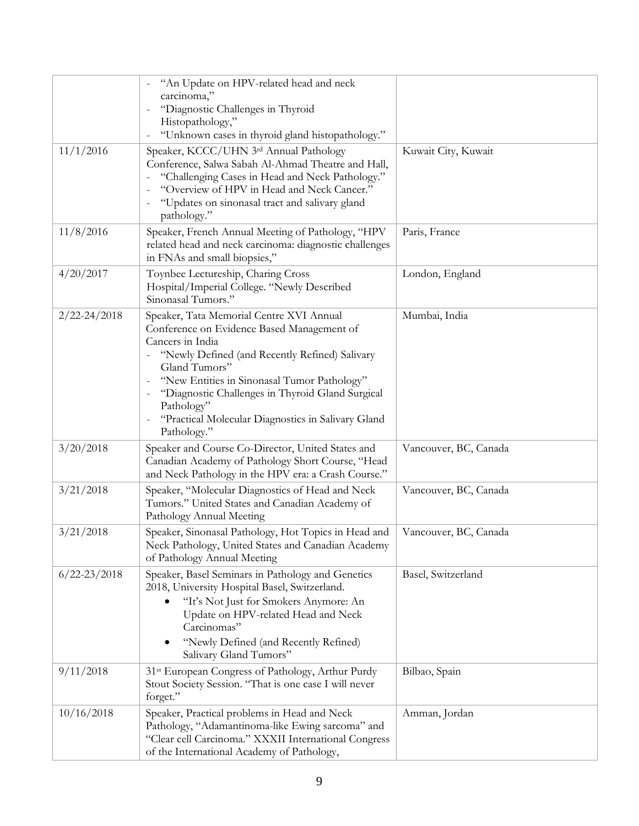|                  | "An Update on HPV-related head and neck<br>carcinoma,"<br>"Diagnostic Challenges in Thyroid<br>Histopathology,"<br>"Unknown cases in thyroid gland histopathology."                                                                                                                                                                                                 |                       |
|------------------|---------------------------------------------------------------------------------------------------------------------------------------------------------------------------------------------------------------------------------------------------------------------------------------------------------------------------------------------------------------------|-----------------------|
| 11/1/2016        | Speaker, KCCC/UHN 3rd Annual Pathology<br>Conference, Salwa Sabah Al-Ahmad Theatre and Hall,<br>"Challenging Cases in Head and Neck Pathology."<br>"Overview of HPV in Head and Neck Cancer."<br>"Updates on sinonasal tract and salivary gland<br>pathology."                                                                                                      | Kuwait City, Kuwait   |
| 11/8/2016        | Speaker, French Annual Meeting of Pathology, "HPV<br>related head and neck carcinoma: diagnostic challenges<br>in FNAs and small biopsies,"                                                                                                                                                                                                                         | Paris, France         |
| 4/20/2017        | Toynbee Lectureship, Charing Cross<br>Hospital/Imperial College. "Newly Described<br>Sinonasal Tumors."                                                                                                                                                                                                                                                             | London, England       |
| $2/22 - 24/2018$ | Speaker, Tata Memorial Centre XVI Annual<br>Conference on Evidence Based Management of<br>Cancers in India<br>"Newly Defined (and Recently Refined) Salivary<br>Gland Tumors"<br>"New Entities in Sinonasal Tumor Pathology"<br>"Diagnostic Challenges in Thyroid Gland Surgical<br>Pathology"<br>"Practical Molecular Diagnostics in Salivary Gland<br>Pathology." | Mumbai, India         |
| 3/20/2018        | Speaker and Course Co-Director, United States and<br>Canadian Academy of Pathology Short Course, "Head<br>and Neck Pathology in the HPV era: a Crash Course."                                                                                                                                                                                                       | Vancouver, BC, Canada |
| 3/21/2018        | Speaker, "Molecular Diagnostics of Head and Neck<br>Tumors." United States and Canadian Academy of<br>Pathology Annual Meeting                                                                                                                                                                                                                                      | Vancouver, BC, Canada |
| 3/21/2018        | Speaker, Sinonasal Pathology, Hot Topics in Head and<br>Neck Pathology, United States and Canadian Academy<br>of Pathology Annual Meeting                                                                                                                                                                                                                           | Vancouver, BC, Canada |
| $6/22 - 23/2018$ | Speaker, Basel Seminars in Pathology and Genetics<br>2018, University Hospital Basel, Switzerland.<br>"It's Not Just for Smokers Anymore: An<br>Update on HPV-related Head and Neck<br>Carcinomas"<br>"Newly Defined (and Recently Refined)<br>Salivary Gland Tumors"                                                                                               | Basel, Switzerland    |
| 9/11/2018        | 31 <sup>st</sup> European Congress of Pathology, Arthur Purdy<br>Stout Society Session. "That is one case I will never<br>forget."                                                                                                                                                                                                                                  | Bilbao, Spain         |
| 10/16/2018       | Speaker, Practical problems in Head and Neck<br>Pathology, "Adamantinoma-like Ewing sarcoma" and<br>"Clear cell Carcinoma." XXXII International Congress<br>of the International Academy of Pathology,                                                                                                                                                              | Amman, Jordan         |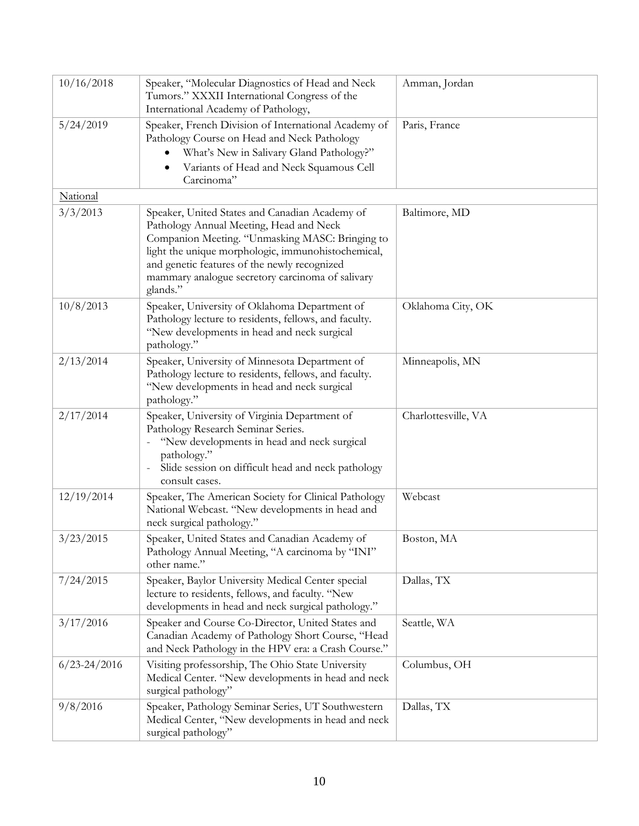| 10/16/2018       | Speaker, "Molecular Diagnostics of Head and Neck<br>Tumors." XXXII International Congress of the<br>International Academy of Pathology,                                                                                                                                                                            | Amman, Jordan       |
|------------------|--------------------------------------------------------------------------------------------------------------------------------------------------------------------------------------------------------------------------------------------------------------------------------------------------------------------|---------------------|
| 5/24/2019        | Speaker, French Division of International Academy of<br>Pathology Course on Head and Neck Pathology<br>What's New in Salivary Gland Pathology?"<br>Variants of Head and Neck Squamous Cell<br>Carcinoma"                                                                                                           | Paris, France       |
| National         |                                                                                                                                                                                                                                                                                                                    |                     |
| 3/3/2013         | Speaker, United States and Canadian Academy of<br>Pathology Annual Meeting, Head and Neck<br>Companion Meeting. "Unmasking MASC: Bringing to<br>light the unique morphologic, immunohistochemical,<br>and genetic features of the newly recognized<br>mammary analogue secretory carcinoma of salivary<br>glands." | Baltimore, MD       |
| 10/8/2013        | Speaker, University of Oklahoma Department of<br>Pathology lecture to residents, fellows, and faculty.<br>"New developments in head and neck surgical<br>pathology."                                                                                                                                               | Oklahoma City, OK   |
| 2/13/2014        | Speaker, University of Minnesota Department of<br>Pathology lecture to residents, fellows, and faculty.<br>"New developments in head and neck surgical<br>pathology."                                                                                                                                              | Minneapolis, MN     |
| 2/17/2014        | Speaker, University of Virginia Department of<br>Pathology Research Seminar Series.<br>"New developments in head and neck surgical<br>pathology."<br>Slide session on difficult head and neck pathology<br>consult cases.                                                                                          | Charlottesville, VA |
| 12/19/2014       | Speaker, The American Society for Clinical Pathology<br>National Webcast. "New developments in head and<br>neck surgical pathology."                                                                                                                                                                               | Webcast             |
| 3/23/2015        | Speaker, United States and Canadian Academy of<br>Pathology Annual Meeting, "A carcinoma by "INI"<br>other name."                                                                                                                                                                                                  | Boston, MA          |
| 7/24/2015        | Speaker, Baylor University Medical Center special<br>lecture to residents, fellows, and faculty. "New<br>developments in head and neck surgical pathology."                                                                                                                                                        | Dallas, TX          |
| 3/17/2016        | Speaker and Course Co-Director, United States and<br>Canadian Academy of Pathology Short Course, "Head<br>and Neck Pathology in the HPV era: a Crash Course."                                                                                                                                                      | Seattle, WA         |
| $6/23 - 24/2016$ | Visiting professorship, The Ohio State University<br>Medical Center. "New developments in head and neck<br>surgical pathology"                                                                                                                                                                                     | Columbus, OH        |
| 9/8/2016         | Speaker, Pathology Seminar Series, UT Southwestern<br>Medical Center, "New developments in head and neck<br>surgical pathology"                                                                                                                                                                                    | Dallas, TX          |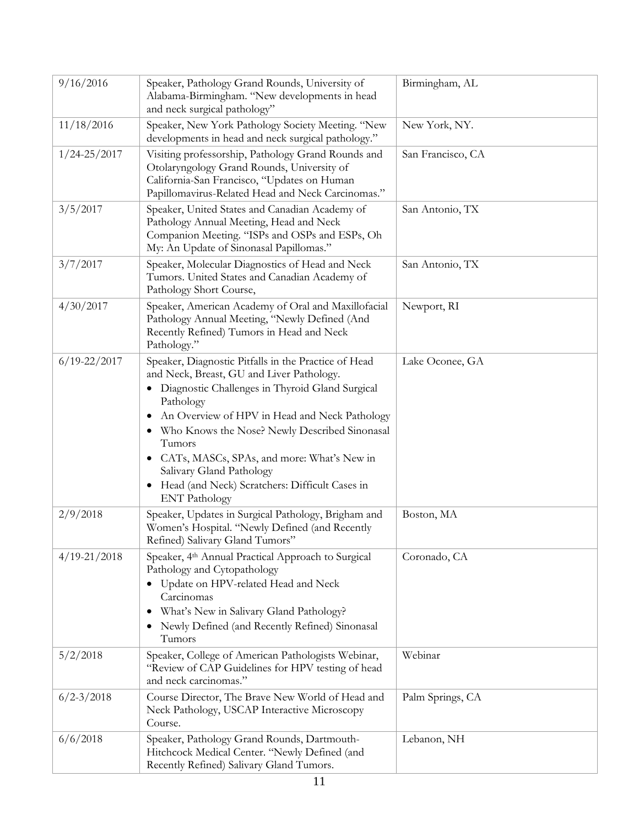| 9/16/2016        | Speaker, Pathology Grand Rounds, University of<br>Alabama-Birmingham. "New developments in head<br>and neck surgical pathology"                                                                                                                                                                                                                                                                                                          | Birmingham, AL    |
|------------------|------------------------------------------------------------------------------------------------------------------------------------------------------------------------------------------------------------------------------------------------------------------------------------------------------------------------------------------------------------------------------------------------------------------------------------------|-------------------|
| 11/18/2016       | Speaker, New York Pathology Society Meeting. "New<br>developments in head and neck surgical pathology."                                                                                                                                                                                                                                                                                                                                  | New York, NY.     |
| $1/24 - 25/2017$ | Visiting professorship, Pathology Grand Rounds and<br>Otolaryngology Grand Rounds, University of<br>California-San Francisco, "Updates on Human<br>Papillomavirus-Related Head and Neck Carcinomas."                                                                                                                                                                                                                                     | San Francisco, CA |
| 3/5/2017         | Speaker, United States and Canadian Academy of<br>Pathology Annual Meeting, Head and Neck<br>Companion Meeting. "ISPs and OSPs and ESPs, Oh<br>My: An Update of Sinonasal Papillomas."                                                                                                                                                                                                                                                   | San Antonio, TX   |
| 3/7/2017         | Speaker, Molecular Diagnostics of Head and Neck<br>Tumors. United States and Canadian Academy of<br>Pathology Short Course,                                                                                                                                                                                                                                                                                                              | San Antonio, TX   |
| 4/30/2017        | Speaker, American Academy of Oral and Maxillofacial<br>Pathology Annual Meeting, "Newly Defined (And<br>Recently Refined) Tumors in Head and Neck<br>Pathology."                                                                                                                                                                                                                                                                         | Newport, RI       |
| $6/19 - 22/2017$ | Speaker, Diagnostic Pitfalls in the Practice of Head<br>and Neck, Breast, GU and Liver Pathology.<br>Diagnostic Challenges in Thyroid Gland Surgical<br>Pathology<br>An Overview of HPV in Head and Neck Pathology<br>Who Knows the Nose? Newly Described Sinonasal<br>٠<br>Tumors<br>• CATs, MASCs, SPAs, and more: What's New in<br>Salivary Gland Pathology<br>Head (and Neck) Scratchers: Difficult Cases in<br><b>ENT</b> Pathology | Lake Oconee, GA   |
| 2/9/2018         | Speaker, Updates in Surgical Pathology, Brigham and<br>Women's Hospital. "Newly Defined (and Recently<br>Refined) Salivary Gland Tumors"                                                                                                                                                                                                                                                                                                 | Boston, MA        |
| $4/19 - 21/2018$ | Speaker, 4th Annual Practical Approach to Surgical<br>Pathology and Cytopathology<br>Update on HPV-related Head and Neck<br>Carcinomas<br>What's New in Salivary Gland Pathology?<br>٠<br>Newly Defined (and Recently Refined) Sinonasal<br>Tumors                                                                                                                                                                                       | Coronado, CA      |
| 5/2/2018         | Speaker, College of American Pathologists Webinar,<br>"Review of CAP Guidelines for HPV testing of head<br>and neck carcinomas."                                                                                                                                                                                                                                                                                                         | Webinar           |
| $6/2 - 3/2018$   | Course Director, The Brave New World of Head and<br>Neck Pathology, USCAP Interactive Microscopy<br>Course.                                                                                                                                                                                                                                                                                                                              | Palm Springs, CA  |
| 6/6/2018         | Speaker, Pathology Grand Rounds, Dartmouth-<br>Hitchcock Medical Center. "Newly Defined (and<br>Recently Refined) Salivary Gland Tumors.                                                                                                                                                                                                                                                                                                 | Lebanon, NH       |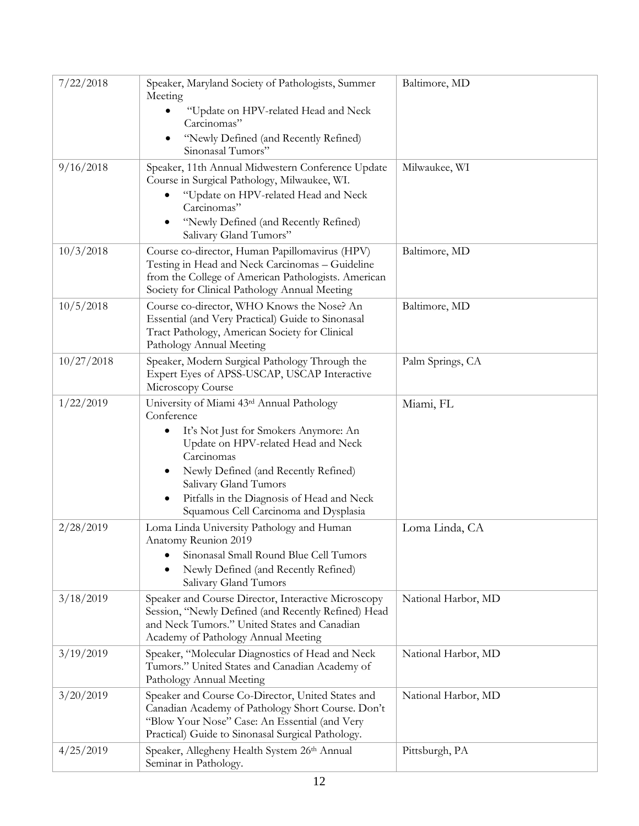| 7/22/2018  | Speaker, Maryland Society of Pathologists, Summer<br>Meeting                                                                                                                                                                                                                                                  | Baltimore, MD       |
|------------|---------------------------------------------------------------------------------------------------------------------------------------------------------------------------------------------------------------------------------------------------------------------------------------------------------------|---------------------|
|            | "Update on HPV-related Head and Neck<br>Carcinomas"                                                                                                                                                                                                                                                           |                     |
|            | "Newly Defined (and Recently Refined)<br>Sinonasal Tumors"                                                                                                                                                                                                                                                    |                     |
| 9/16/2018  | Speaker, 11th Annual Midwestern Conference Update<br>Course in Surgical Pathology, Milwaukee, WI.<br>"Update on HPV-related Head and Neck<br>Carcinomas"<br>"Newly Defined (and Recently Refined)<br>Salivary Gland Tumors"                                                                                   | Milwaukee, WI       |
| 10/3/2018  | Course co-director, Human Papillomavirus (HPV)<br>Testing in Head and Neck Carcinomas - Guideline<br>from the College of American Pathologists. American<br>Society for Clinical Pathology Annual Meeting                                                                                                     | Baltimore, MD       |
| 10/5/2018  | Course co-director, WHO Knows the Nose? An<br>Essential (and Very Practical) Guide to Sinonasal<br>Tract Pathology, American Society for Clinical<br>Pathology Annual Meeting                                                                                                                                 | Baltimore, MD       |
| 10/27/2018 | Speaker, Modern Surgical Pathology Through the<br>Expert Eyes of APSS-USCAP, USCAP Interactive<br>Microscopy Course                                                                                                                                                                                           | Palm Springs, CA    |
| 1/22/2019  | University of Miami 43rd Annual Pathology<br>Conference<br>It's Not Just for Smokers Anymore: An<br>Update on HPV-related Head and Neck<br>Carcinomas<br>Newly Defined (and Recently Refined)<br>Salivary Gland Tumors<br>Pitfalls in the Diagnosis of Head and Neck<br>Squamous Cell Carcinoma and Dysplasia | Miami, FL           |
| 2/28/2019  | Loma Linda University Pathology and Human<br>Anatomy Reunion 2019<br>Sinonasal Small Round Blue Cell Tumors<br>Newly Defined (and Recently Refined)<br>Salivary Gland Tumors                                                                                                                                  | Loma Linda, CA      |
| 3/18/2019  | Speaker and Course Director, Interactive Microscopy<br>Session, "Newly Defined (and Recently Refined) Head<br>and Neck Tumors." United States and Canadian<br>Academy of Pathology Annual Meeting                                                                                                             | National Harbor, MD |
| 3/19/2019  | Speaker, "Molecular Diagnostics of Head and Neck<br>Tumors." United States and Canadian Academy of<br>Pathology Annual Meeting                                                                                                                                                                                | National Harbor, MD |
| 3/20/2019  | Speaker and Course Co-Director, United States and<br>Canadian Academy of Pathology Short Course. Don't<br>"Blow Your Nose" Case: An Essential (and Very<br>Practical) Guide to Sinonasal Surgical Pathology.                                                                                                  | National Harbor, MD |
| 4/25/2019  | Speaker, Allegheny Health System 26th Annual<br>Seminar in Pathology.                                                                                                                                                                                                                                         | Pittsburgh, PA      |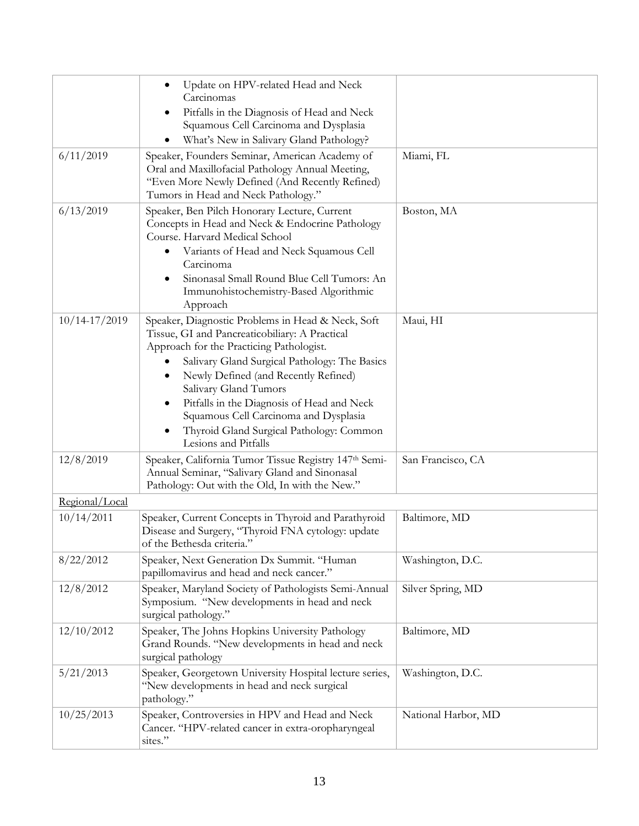|                   | Update on HPV-related Head and Neck<br>Carcinomas<br>Pitfalls in the Diagnosis of Head and Neck<br>٠<br>Squamous Cell Carcinoma and Dysplasia<br>What's New in Salivary Gland Pathology?                                                                                                                                                                                                                                          |                     |
|-------------------|-----------------------------------------------------------------------------------------------------------------------------------------------------------------------------------------------------------------------------------------------------------------------------------------------------------------------------------------------------------------------------------------------------------------------------------|---------------------|
| 6/11/2019         | Speaker, Founders Seminar, American Academy of<br>Oral and Maxillofacial Pathology Annual Meeting,<br>"Even More Newly Defined (And Recently Refined)<br>Tumors in Head and Neck Pathology."                                                                                                                                                                                                                                      | Miami, FL           |
| 6/13/2019         | Speaker, Ben Pilch Honorary Lecture, Current<br>Concepts in Head and Neck & Endocrine Pathology<br>Course. Harvard Medical School<br>Variants of Head and Neck Squamous Cell<br>٠<br>Carcinoma<br>Sinonasal Small Round Blue Cell Tumors: An<br>Immunohistochemistry-Based Algorithmic<br>Approach                                                                                                                                | Boston, MA          |
| $10/14 - 17/2019$ | Speaker, Diagnostic Problems in Head & Neck, Soft<br>Tissue, GI and Pancreaticobiliary: A Practical<br>Approach for the Practicing Pathologist.<br>Salivary Gland Surgical Pathology: The Basics<br>Newly Defined (and Recently Refined)<br>Salivary Gland Tumors<br>Pitfalls in the Diagnosis of Head and Neck<br>٠<br>Squamous Cell Carcinoma and Dysplasia<br>Thyroid Gland Surgical Pathology: Common<br>Lesions and Pitfalls | Maui, HI            |
| 12/8/2019         | Speaker, California Tumor Tissue Registry 147th Semi-<br>Annual Seminar, "Salivary Gland and Sinonasal<br>Pathology: Out with the Old, In with the New."                                                                                                                                                                                                                                                                          | San Francisco, CA   |
| Regional/Local    |                                                                                                                                                                                                                                                                                                                                                                                                                                   |                     |
| 10/14/2011        | Speaker, Current Concepts in Thyroid and Parathyroid<br>Disease and Surgery, "Thyroid FNA cytology: update<br>of the Bethesda criteria.                                                                                                                                                                                                                                                                                           | Baltimore, MD       |
| 8/22/2012         | Speaker, Next Generation Dx Summit. "Human<br>papillomavirus and head and neck cancer."                                                                                                                                                                                                                                                                                                                                           | Washington, D.C.    |
| 12/8/2012         | Speaker, Maryland Society of Pathologists Semi-Annual<br>Symposium. "New developments in head and neck<br>surgical pathology."                                                                                                                                                                                                                                                                                                    | Silver Spring, MD   |
| 12/10/2012        | Speaker, The Johns Hopkins University Pathology<br>Grand Rounds. "New developments in head and neck<br>surgical pathology                                                                                                                                                                                                                                                                                                         | Baltimore, MD       |
| 5/21/2013         | Speaker, Georgetown University Hospital lecture series,<br>"New developments in head and neck surgical<br>pathology."                                                                                                                                                                                                                                                                                                             | Washington, D.C.    |
| 10/25/2013        | Speaker, Controversies in HPV and Head and Neck<br>Cancer. "HPV-related cancer in extra-oropharyngeal<br>sites."                                                                                                                                                                                                                                                                                                                  | National Harbor, MD |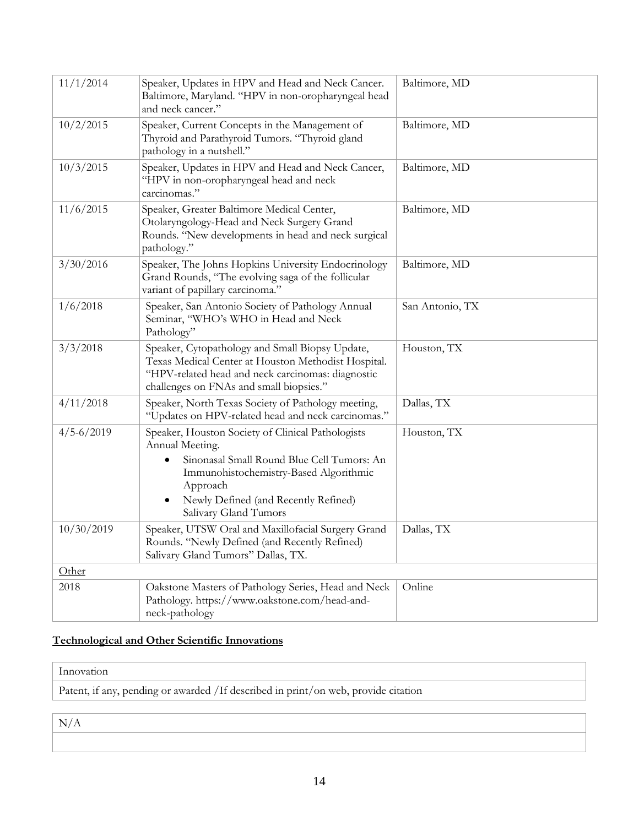| 11/1/2014      | Speaker, Updates in HPV and Head and Neck Cancer.<br>Baltimore, Maryland. "HPV in non-oropharyngeal head<br>and neck cancer."                                                                                                                          | Baltimore, MD   |
|----------------|--------------------------------------------------------------------------------------------------------------------------------------------------------------------------------------------------------------------------------------------------------|-----------------|
| 10/2/2015      | Speaker, Current Concepts in the Management of<br>Thyroid and Parathyroid Tumors. "Thyroid gland<br>pathology in a nutshell."                                                                                                                          | Baltimore, MD   |
| 10/3/2015      | Speaker, Updates in HPV and Head and Neck Cancer,<br>"HPV in non-oropharyngeal head and neck<br>carcinomas."                                                                                                                                           | Baltimore, MD   |
| 11/6/2015      | Speaker, Greater Baltimore Medical Center,<br>Otolaryngology-Head and Neck Surgery Grand<br>Rounds. "New developments in head and neck surgical<br>pathology."                                                                                         | Baltimore, MD   |
| 3/30/2016      | Speaker, The Johns Hopkins University Endocrinology<br>Grand Rounds, "The evolving saga of the follicular<br>variant of papillary carcinoma."                                                                                                          | Baltimore, MD   |
| 1/6/2018       | Speaker, San Antonio Society of Pathology Annual<br>Seminar, "WHO's WHO in Head and Neck<br>Pathology"                                                                                                                                                 | San Antonio, TX |
| 3/3/2018       | Speaker, Cytopathology and Small Biopsy Update,<br>Texas Medical Center at Houston Methodist Hospital.<br>"HPV-related head and neck carcinomas: diagnostic<br>challenges on FNAs and small biopsies."                                                 | Houston, TX     |
| 4/11/2018      | Speaker, North Texas Society of Pathology meeting,<br>"Updates on HPV-related head and neck carcinomas."                                                                                                                                               | Dallas, TX      |
| $4/5 - 6/2019$ | Speaker, Houston Society of Clinical Pathologists<br>Annual Meeting.<br>Sinonasal Small Round Blue Cell Tumors: An<br>Immunohistochemistry-Based Algorithmic<br>Approach<br>Newly Defined (and Recently Refined)<br>$\bullet$<br>Salivary Gland Tumors | Houston, TX     |
| 10/30/2019     | Speaker, UTSW Oral and Maxillofacial Surgery Grand<br>Rounds. "Newly Defined (and Recently Refined)<br>Salivary Gland Tumors" Dallas, TX.                                                                                                              | Dallas, TX      |
| Other          |                                                                                                                                                                                                                                                        |                 |
| 2018           | Oakstone Masters of Pathology Series, Head and Neck<br>Pathology. https://www.oakstone.com/head-and-<br>neck-pathology                                                                                                                                 | Online          |

### **Technological and Other Scientific Innovations**

#### Innovation

Patent, if any, pending or awarded /If described in print/on web, provide citation

N/A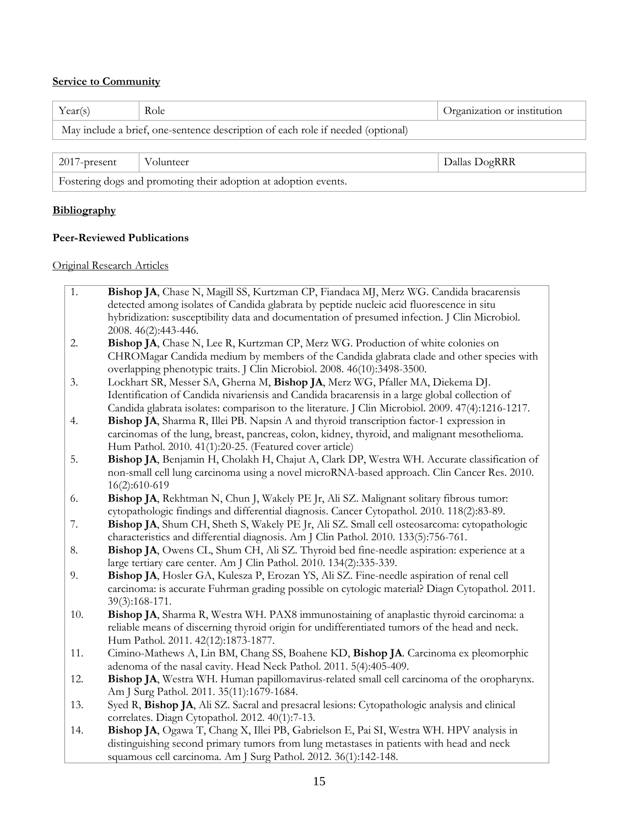#### **Service to Community**

| Year(s)                                                                         | Role      | Organization or institution |
|---------------------------------------------------------------------------------|-----------|-----------------------------|
| May include a brief, one-sentence description of each role if needed (optional) |           |                             |
|                                                                                 |           |                             |
| $2017$ -present                                                                 | Volunteer | Dallas DogRRR               |
| Fostering dogs and promoting their adoption at adoption events.                 |           |                             |

#### **Bibliography**

#### **Peer-Reviewed Publications**

#### Original Research Articles

| 1. | Bishop JA, Chase N, Magill SS, Kurtzman CP, Fiandaca MJ, Merz WG. Candida bracarensis                                                 |
|----|---------------------------------------------------------------------------------------------------------------------------------------|
|    | detected among isolates of Candida glabrata by peptide nucleic acid fluorescence in situ                                              |
|    | hybridization: susceptibility data and documentation of presumed infection. J Clin Microbiol.                                         |
|    | $2008.46(2):443-446.$                                                                                                                 |
|    | $\mathbf{r}$<br><b>Put it is a start of the final start of the start of the start of the start of the start of the start of the s</b> |

- 2. **Bishop JA**, Chase N, Lee R, Kurtzman CP, Merz WG. Production of white colonies on CHROMagar Candida medium by members of the Candida glabrata clade and other species with overlapping phenotypic traits. J Clin Microbiol. 2008. 46(10):3498-3500.
- 3. Lockhart SR, Messer SA, Gherna M, **Bishop JA**, Merz WG, Pfaller MA, Diekema DJ. Identification of Candida nivariensis and Candida bracarensis in a large global collection of Candida glabrata isolates: comparison to the literature. J Clin Microbiol. 2009. 47(4):1216-1217.
- 4. **Bishop JA**, Sharma R, Illei PB. Napsin A and thyroid transcription factor-1 expression in carcinomas of the lung, breast, pancreas, colon, kidney, thyroid, and malignant mesothelioma. Hum Pathol. 2010. 41(1):20-25. (Featured cover article)
- 5. **Bishop JA**, Benjamin H, Cholakh H, Chajut A, Clark DP, Westra WH. Accurate classification of non-small cell lung carcinoma using a novel microRNA-based approach. Clin Cancer Res. 2010. 16(2):610-619
- 6. **Bishop JA**, Rekhtman N, Chun J, Wakely PE Jr, Ali SZ. Malignant solitary fibrous tumor: cytopathologic findings and differential diagnosis. Cancer Cytopathol. 2010. 118(2):83-89.
- 7. **Bishop JA**, Shum CH, Sheth S, Wakely PE Jr, Ali SZ. Small cell osteosarcoma: cytopathologic characteristics and differential diagnosis. Am J Clin Pathol. 2010. 133(5):756-761.
- 8. **Bishop JA**, Owens CL, Shum CH, Ali SZ. Thyroid bed fine-needle aspiration: experience at a large tertiary care center. Am J Clin Pathol. 2010. 134(2):335-339.
- 9. **Bishop JA**, Hosler GA, Kulesza P, Erozan YS, Ali SZ. Fine-needle aspiration of renal cell carcinoma: is accurate Fuhrman grading possible on cytologic material? Diagn Cytopathol. 2011. 39(3):168-171.
- 10. **Bishop JA**, Sharma R, Westra WH. PAX8 immunostaining of anaplastic thyroid carcinoma: a reliable means of discerning thyroid origin for undifferentiated tumors of the head and neck. Hum Pathol. 2011. 42(12):1873-1877.
- 11. Cimino-Mathews A, Lin BM, Chang SS, Boahene KD, **Bishop JA**. Carcinoma ex pleomorphic adenoma of the nasal cavity. Head Neck Pathol. 2011. 5(4):405-409.
- 12. **Bishop JA**, Westra WH. Human papillomavirus-related small cell carcinoma of the oropharynx. Am J Surg Pathol. 2011. 35(11):1679-1684.
- 13. Syed R, **Bishop JA**, Ali SZ. Sacral and presacral lesions: Cytopathologic analysis and clinical correlates. Diagn Cytopathol. 2012. 40(1):7-13.
- 14. **Bishop JA**, Ogawa T, Chang X, Illei PB, Gabrielson E, Pai SI, Westra WH. HPV analysis in distinguishing second primary tumors from lung metastases in patients with head and neck squamous cell carcinoma. Am J Surg Pathol. 2012. 36(1):142-148.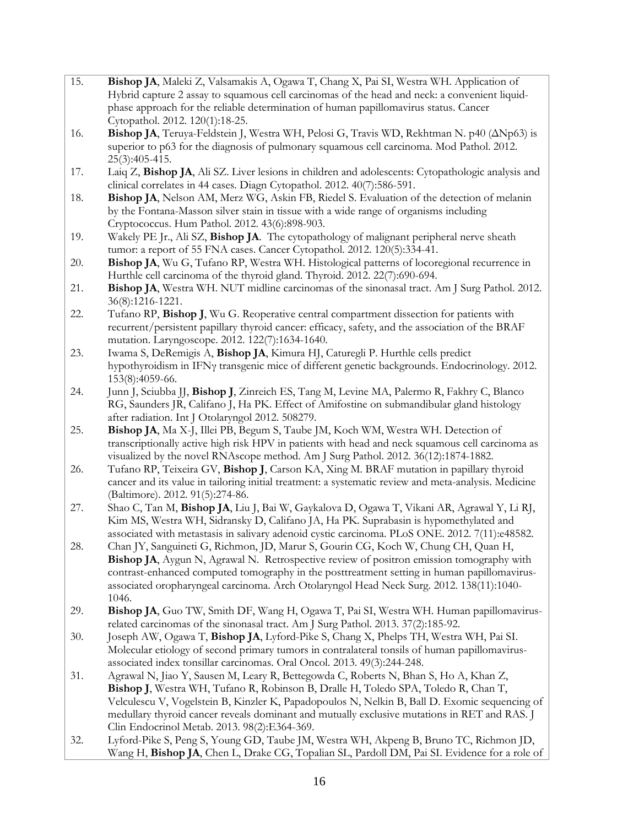| 15. | Bishop JA, Maleki Z, Valsamakis A, Ogawa T, Chang X, Pai SI, Westra WH. Application of                                                                                                |
|-----|---------------------------------------------------------------------------------------------------------------------------------------------------------------------------------------|
|     | Hybrid capture 2 assay to squamous cell carcinomas of the head and neck: a convenient liquid-<br>phase approach for the reliable determination of human papillomavirus status. Cancer |
|     | Cytopathol. 2012. 120(1):18-25.                                                                                                                                                       |
| 16. | Bishop JA, Teruya-Feldstein J, Westra WH, Pelosi G, Travis WD, Rekhtman N. p40 ( $\Delta Np63$ ) is                                                                                   |
|     | superior to p63 for the diagnosis of pulmonary squamous cell carcinoma. Mod Pathol. 2012.                                                                                             |
|     | 25(3):405-415.                                                                                                                                                                        |
| 17. | Laiq Z, Bishop JA, Ali SZ. Liver lesions in children and adolescents: Cytopathologic analysis and<br>clinical correlates in 44 cases. Diagn Cytopathol. 2012. 40(7):586-591.          |
| 18. | Bishop JA, Nelson AM, Merz WG, Askin FB, Riedel S. Evaluation of the detection of melanin                                                                                             |
|     | by the Fontana-Masson silver stain in tissue with a wide range of organisms including                                                                                                 |
|     | Cryptococcus. Hum Pathol. 2012. 43(6):898-903.                                                                                                                                        |
| 19. | Wakely PE Jr., Ali SZ, Bishop JA. The cytopathology of malignant peripheral nerve sheath                                                                                              |
|     | tumor: a report of 55 FNA cases. Cancer Cytopathol. 2012. 120(5):334-41.                                                                                                              |
| 20. | Bishop JA, Wu G, Tufano RP, Westra WH. Histological patterns of locoregional recurrence in<br>Hurthle cell carcinoma of the thyroid gland. Thyroid. 2012. 22(7):690-694.              |
| 21. | Bishop JA, Westra WH. NUT midline carcinomas of the sinonasal tract. Am J Surg Pathol. 2012.                                                                                          |
|     | 36(8):1216-1221.                                                                                                                                                                      |
| 22. | Tufano RP, Bishop J, Wu G. Reoperative central compartment dissection for patients with                                                                                               |
|     | recurrent/persistent papillary thyroid cancer: efficacy, safety, and the association of the BRAF                                                                                      |
| 23. | mutation. Laryngoscope. 2012. 122(7):1634-1640.                                                                                                                                       |
|     | Iwama S, DeRemigis A, Bishop JA, Kimura HJ, Caturegli P. Hurthle cells predict<br>hypothyroidism in IFNy transgenic mice of different genetic backgrounds. Endocrinology. 2012.       |
|     | 153(8):4059-66.                                                                                                                                                                       |
| 24. | Junn J, Sciubba JJ, Bishop J, Zinreich ES, Tang M, Levine MA, Palermo R, Fakhry C, Blanco                                                                                             |
|     | RG, Saunders JR, Califano J, Ha PK. Effect of Amifostine on submandibular gland histology                                                                                             |
|     | after radiation. Int J Otolaryngol 2012. 508279.                                                                                                                                      |
| 25. | Bishop JA, Ma X-J, Illei PB, Begum S, Taube JM, Koch WM, Westra WH. Detection of<br>transcriptionally active high risk HPV in patients with head and neck squamous cell carcinoma as  |
|     | visualized by the novel RNAscope method. Am J Surg Pathol. 2012. 36(12):1874-1882.                                                                                                    |
| 26. | Tufano RP, Teixeira GV, Bishop J, Carson KA, Xing M. BRAF mutation in papillary thyroid                                                                                               |
|     | cancer and its value in tailoring initial treatment: a systematic review and meta-analysis. Medicine                                                                                  |
|     | (Baltimore). 2012. 91(5):274-86.                                                                                                                                                      |
| 27. | Shao C, Tan M, Bishop JA, Liu J, Bai W, Gaykalova D, Ogawa T, Vikani AR, Agrawal Y, Li RJ,<br>Kim MS, Westra WH, Sidransky D, Califano JA, Ha PK. Suprabasin is hypomethylated and    |
|     | associated with metastasis in salivary adenoid cystic carcinoma. PLoS ONE. 2012. 7(11):e48582.                                                                                        |
| 28. | Chan JY, Sanguineti G, Richmon, JD, Marur S, Gourin CG, Koch W, Chung CH, Quan H,                                                                                                     |
|     | Bishop JA, Aygun N, Agrawal N. Retrospective review of positron emission tomography with                                                                                              |
|     | contrast-enhanced computed tomography in the posttreatment setting in human papillomavirus-                                                                                           |
|     | associated oropharyngeal carcinoma. Arch Otolaryngol Head Neck Surg. 2012. 138(11):1040-<br>1046.                                                                                     |
| 29. | Bishop JA, Guo TW, Smith DF, Wang H, Ogawa T, Pai SI, Westra WH. Human papillomavirus-                                                                                                |
|     | related carcinomas of the sinonasal tract. Am J Surg Pathol. 2013. 37(2):185-92.                                                                                                      |
| 30. | Joseph AW, Ogawa T, Bishop JA, Lyford-Pike S, Chang X, Phelps TH, Westra WH, Pai SI.                                                                                                  |
|     | Molecular etiology of second primary tumors in contralateral tonsils of human papillomavirus-                                                                                         |
| 31. | associated index tonsillar carcinomas. Oral Oncol. 2013. 49(3):244-248.<br>Agrawal N, Jiao Y, Sausen M, Leary R, Bettegowda C, Roberts N, Bhan S, Ho A, Khan Z,                       |
|     | Bishop J, Westra WH, Tufano R, Robinson B, Dralle H, Toledo SPA, Toledo R, Chan T,                                                                                                    |
|     | Velculescu V, Vogelstein B, Kinzler K, Papadopoulos N, Nelkin B, Ball D. Exomic sequencing of                                                                                         |
|     | medullary thyroid cancer reveals dominant and mutually exclusive mutations in RET and RAS. J                                                                                          |
|     | Clin Endocrinol Metab. 2013. 98(2):E364-369.                                                                                                                                          |
| 32. | Lyford-Pike S, Peng S, Young GD, Taube JM, Westra WH, Akpeng B, Bruno TC, Richmon JD,                                                                                                 |
|     | Wang H, Bishop JA, Chen L, Drake CG, Topalian SL, Pardoll DM, Pai SI. Evidence for a role of                                                                                          |
|     |                                                                                                                                                                                       |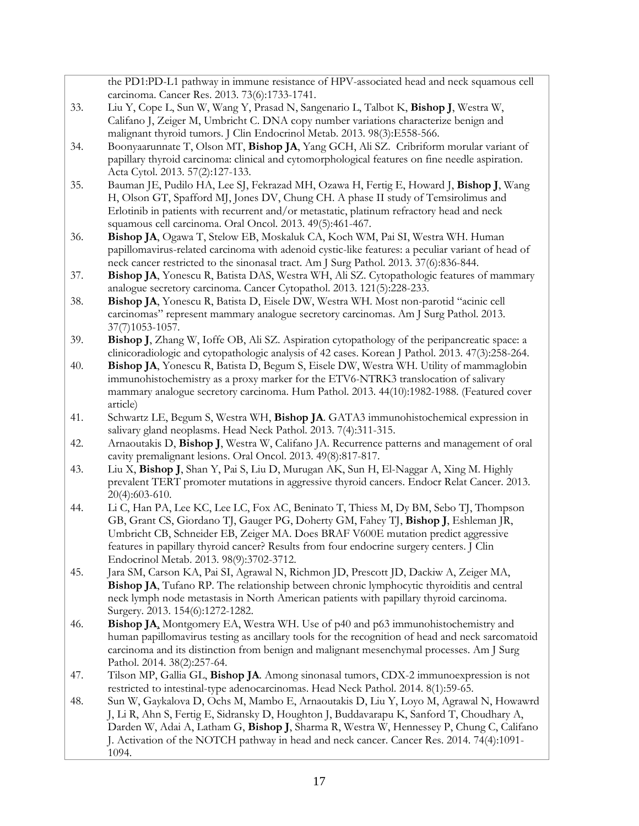the PD1:PD-L1 pathway in immune resistance of HPV-associated head and neck squamous cell carcinoma. Cancer Res. 2013. 73(6):1733-1741.

- 33. Liu Y, Cope L, Sun W, Wang Y, Prasad N, Sangenario L, Talbot K, **Bishop J**, Westra W, Califano J, Zeiger M, Umbricht C. DNA copy number variations characterize benign and malignant thyroid tumors. J Clin Endocrinol Metab. 2013. 98(3):E558-566.
- 34. Boonyaarunnate T, Olson MT, **Bishop JA**, Yang GCH, Ali SZ. Cribriform morular variant of papillary thyroid carcinoma: clinical and cytomorphological features on fine needle aspiration. Acta Cytol. 2013. 57(2):127-133.
- 35. Bauman JE, Pudilo HA, Lee SJ, Fekrazad MH, Ozawa H, Fertig E, Howard J, **Bishop J**, Wang H, Olson GT, Spafford MJ, Jones DV, Chung CH. A phase II study of Temsirolimus and Erlotinib in patients with recurrent and/or metastatic, platinum refractory head and neck squamous cell carcinoma. Oral Oncol. 2013. 49(5):461-467.
- 36. **Bishop JA**, Ogawa T, Stelow EB, Moskaluk CA, Koch WM, Pai SI, Westra WH. Human papillomavirus-related carcinoma with adenoid cystic-like features: a peculiar variant of head of neck cancer restricted to the sinonasal tract. Am J Surg Pathol. 2013. 37(6):836-844.
- 37. **Bishop JA**, Yonescu R, Batista DAS, Westra WH, Ali SZ. Cytopathologic features of mammary analogue secretory carcinoma. Cancer Cytopathol. 2013. 121(5):228-233.
- 38. **Bishop JA**, Yonescu R, Batista D, Eisele DW, Westra WH. Most non-parotid "acinic cell carcinomas" represent mammary analogue secretory carcinomas. Am J Surg Pathol. 2013. 37(7)1053-1057.
- 39. **Bishop J**, Zhang W, Ioffe OB, Ali SZ. Aspiration cytopathology of the peripancreatic space: a clinicoradiologic and cytopathologic analysis of 42 cases. Korean J Pathol. 2013. 47(3):258-264.
- 40. **Bishop JA**, Yonescu R, Batista D, Begum S, Eisele DW, Westra WH. Utility of mammaglobin immunohistochemistry as a proxy marker for the ETV6-NTRK3 translocation of salivary mammary analogue secretory carcinoma. Hum Pathol. 2013. 44(10):1982-1988. (Featured cover article)
- 41. Schwartz LE, Begum S, Westra WH, **Bishop JA**. GATA3 immunohistochemical expression in salivary gland neoplasms. Head Neck Pathol. 2013. 7(4):311-315.
- 42. Arnaoutakis D, **Bishop J**, Westra W, Califano JA. Recurrence patterns and management of oral cavity premalignant lesions. Oral Oncol. 2013. 49(8):817-817.
- 43. Liu X, **Bishop J**, Shan Y, Pai S, Liu D, Murugan AK, Sun H, El-Naggar A, Xing M. Highly prevalent TERT promoter mutations in aggressive thyroid cancers. Endocr Relat Cancer. 2013. 20(4):603-610.
- 44. Li C, Han PA, Lee KC, Lee LC, Fox AC, Beninato T, Thiess M, Dy BM, Sebo TJ, Thompson GB, Grant CS, Giordano TJ, Gauger PG, Doherty GM, Fahey TJ, **Bishop J**, Eshleman JR, Umbricht CB, Schneider EB, Zeiger MA. Does BRAF V600E mutation predict aggressive features in papillary thyroid cancer? Results from four endocrine surgery centers. J Clin Endocrinol Metab. 2013. 98(9):3702-3712.
- 45. Jara SM, Carson KA, Pai SI, Agrawal N, Richmon JD, Prescott JD, Dackiw A, Zeiger MA, **Bishop JA**, Tufano RP. The relationship between chronic lymphocytic thyroiditis and central neck lymph node metastasis in North American patients with papillary thyroid carcinoma. Surgery. 2013. 154(6):1272-1282.
- 46. **Bishop JA**, Montgomery EA, Westra WH. Use of p40 and p63 immunohistochemistry and human papillomavirus testing as ancillary tools for the recognition of head and neck sarcomatoid carcinoma and its distinction from benign and malignant mesenchymal processes. Am J Surg Pathol. 2014. 38(2):257-64.
- 47. Tilson MP, Gallia GL, **Bishop JA**. Among sinonasal tumors, CDX-2 immunoexpression is not restricted to intestinal-type adenocarcinomas. Head Neck Pathol. 2014. 8(1):59-65.
- 48. Sun W, Gaykalova D, Ochs M, Mambo E, Arnaoutakis D, Liu Y, Loyo M, Agrawal N, Howawrd J, Li R, Ahn S, Fertig E, Sidransky D, Houghton J, Buddavarapu K, Sanford T, Choudhary A, Darden W, Adai A, Latham G, **Bishop J**, Sharma R, Westra W, Hennessey P, Chung C, Califano J. Activation of the NOTCH pathway in head and neck cancer. Cancer Res. 2014. 74(4):1091- 1094.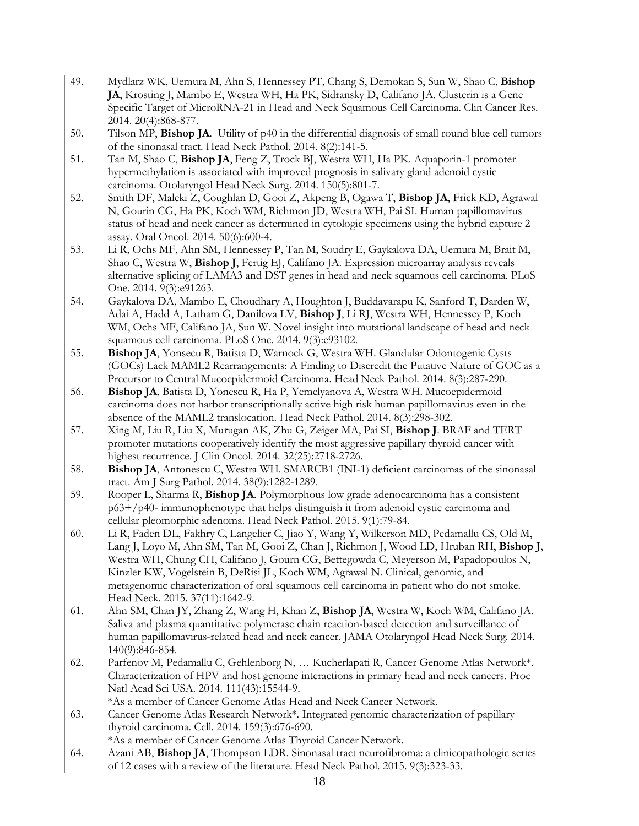- 49. Mydlarz WK, Uemura M, Ahn S, Hennessey PT, Chang S, Demokan S, Sun W, Shao C, **Bishop JA**, Krosting J, Mambo E, Westra WH, Ha PK, Sidransky D, Califano JA. Clusterin is a Gene Specific Target of MicroRNA-21 in Head and Neck Squamous Cell Carcinoma. Clin Cancer Res. 2014. 20(4):868-877.
- 50. Tilson MP, **Bishop JA**. Utility of p40 in the differential diagnosis of small round blue cell tumors of the sinonasal tract. Head Neck Pathol. 2014. 8(2):141-5.
- 51. Tan M, Shao C, **Bishop JA**, Feng Z, Trock BJ, Westra WH, Ha PK. Aquaporin-1 promoter hypermethylation is associated with improved prognosis in salivary gland adenoid cystic carcinoma. Otolaryngol Head Neck Surg. 2014. 150(5):801-7.
- 52. Smith DF, Maleki Z, Coughlan D, Gooi Z, Akpeng B, Ogawa T, **Bishop JA**, Frick KD, Agrawal N, Gourin CG, Ha PK, Koch WM, Richmon JD, Westra WH, Pai SI. Human papillomavirus status of head and neck cancer as determined in cytologic specimens using the hybrid capture 2 assay. Oral Oncol. 2014. 50(6):600-4.
- 53. Li R, Ochs MF, Ahn SM, Hennessey P, Tan M, Soudry E, Gaykalova DA, Uemura M, Brait M, Shao C, Westra W, **Bishop J**, Fertig EJ, Califano JA. Expression microarray analysis reveals alternative splicing of LAMA3 and DST genes in head and neck squamous cell carcinoma. PLoS One. 2014. 9(3):e91263.
- 54. Gaykalova DA, Mambo E, Choudhary A, Houghton J, Buddavarapu K, Sanford T, Darden W, Adai A, Hadd A, Latham G, Danilova LV, **Bishop J**, Li RJ, Westra WH, Hennessey P, Koch WM, Ochs MF, Califano JA, Sun W. Novel insight into mutational landscape of head and neck squamous cell carcinoma. PLoS One. 2014. 9(3):e93102.
- 55. **Bishop JA**, Yonsecu R, Batista D, Warnock G, Westra WH. Glandular Odontogenic Cysts (GOCs) Lack MAML2 Rearrangements: A Finding to Discredit the Putative Nature of GOC as a Precursor to Central Mucoepidermoid Carcinoma. Head Neck Pathol. 2014. 8(3):287-290.
- 56. **Bishop JA**, Batista D, Yonescu R, Ha P, Yemelyanova A, Westra WH. Mucoepidermoid carcinoma does not harbor transcriptionally active high risk human papillomavirus even in the absence of the MAML2 translocation. Head Neck Pathol. 2014. 8(3):298-302.
- 57. Xing M, Liu R, Liu X, Murugan AK, Zhu G, Zeiger MA, Pai SI, **Bishop J**. BRAF and TERT promoter mutations cooperatively identify the most aggressive papillary thyroid cancer with highest recurrence. J Clin Oncol. 2014. 32(25):2718-2726.
- 58. **Bishop JA**, Antonescu C, Westra WH. SMARCB1 (INI-1) deficient carcinomas of the sinonasal tract. Am J Surg Pathol. 2014. 38(9):1282-1289.
- 59. Rooper L, Sharma R, **Bishop JA**. Polymorphous low grade adenocarcinoma has a consistent p63+/p40- immunophenotype that helps distinguish it from adenoid cystic carcinoma and cellular pleomorphic adenoma. Head Neck Pathol. 2015. 9(1):79-84.
- 60. Li R, Faden DL, Fakhry C, Langelier C, Jiao Y, Wang Y, Wilkerson MD, Pedamallu CS, Old M, Lang J, Loyo M, Ahn SM, Tan M, Gooi Z, Chan J, Richmon J, Wood LD, Hruban RH, **Bishop J**, Westra WH, Chung CH, Califano J, Gourn CG, Bettegowda C, Meyerson M, Papadopoulos N, Kinzler KW, Vogelstein B, DeRisi JL, Koch WM, Agrawal N. Clinical, genomic, and metagenomic characterization of oral squamous cell carcinoma in patient who do not smoke. Head Neck. 2015. 37(11):1642-9.
- 61. Ahn SM, Chan JY, Zhang Z, Wang H, Khan Z, **Bishop JA**, Westra W, Koch WM, Califano JA. Saliva and plasma quantitative polymerase chain reaction-based detection and surveillance of human papillomavirus-related head and neck cancer. JAMA Otolaryngol Head Neck Surg. 2014. 140(9):846-854.
- 62. Parfenov M, Pedamallu C, Gehlenborg N, … Kucherlapati R, Cancer Genome Atlas Network\*. Characterization of HPV and host genome interactions in primary head and neck cancers. Proc Natl Acad Sci USA. 2014. 111(43):15544-9.
	- \*As a member of Cancer Genome Atlas Head and Neck Cancer Network.
- 63. Cancer Genome Atlas Research Network\*. Integrated genomic characterization of papillary thyroid carcinoma. Cell. 2014. 159(3):676-690.
	- \*As a member of Cancer Genome Atlas Thyroid Cancer Network.
- 64. Azani AB, **Bishop JA**, Thompson LDR. Sinonasal tract neurofibroma: a clinicopathologic series of 12 cases with a review of the literature. Head Neck Pathol. 2015. 9(3):323-33.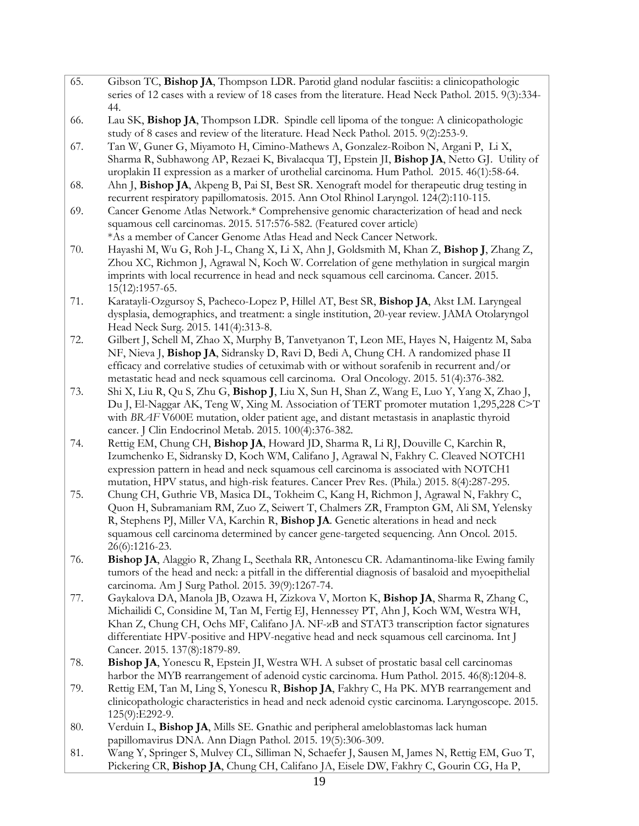- 65. Gibson TC, **Bishop JA**, Thompson LDR. Parotid gland nodular fasciitis: a clinicopathologic series of 12 cases with a review of 18 cases from the literature. Head Neck Pathol. 2015. 9(3):334- 44.
- 66. Lau SK, **Bishop JA**, Thompson LDR. Spindle cell lipoma of the tongue: A clinicopathologic study of 8 cases and review of the literature. Head Neck Pathol. 2015. 9(2):253-9.
- 67. Tan W, Guner G, Miyamoto H, Cimino-Mathews A, Gonzalez-Roibon N, Argani P, Li X, Sharma R, Subhawong AP, Rezaei K, Bivalacqua TJ, Epstein JI, **Bishop JA**, Netto GJ. Utility of uroplakin II expression as a marker of urothelial carcinoma. Hum Pathol. 2015. 46(1):58-64.
- 68. Ahn J, **Bishop JA**, Akpeng B, Pai SI, Best SR. Xenograft model for therapeutic drug testing in recurrent respiratory papillomatosis. 2015. Ann Otol Rhinol Laryngol. 124(2):110-115.
- 69. Cancer Genome Atlas Network.\* Comprehensive genomic characterization of head and neck squamous cell carcinomas. 2015. 517:576-582. (Featured cover article) \*As a member of Cancer Genome Atlas Head and Neck Cancer Network.
- 70. Hayashi M, Wu G, Roh J-L, Chang X, Li X, Ahn J, Goldsmith M, Khan Z, **Bishop J**, Zhang Z, Zhou XC, Richmon J, Agrawal N, Koch W. Correlation of gene methylation in surgical margin imprints with local recurrence in head and neck squamous cell carcinoma. Cancer. 2015. 15(12):1957-65.
- 71. Karatayli-Ozgursoy S, Pacheco-Lopez P, Hillel AT, Best SR, **Bishop JA**, Akst LM. Laryngeal dysplasia, demographics, and treatment: a single institution, 20-year review. JAMA Otolaryngol Head Neck Surg. 2015. 141(4):313-8.
- 72. Gilbert J, Schell M, Zhao X, Murphy B, Tanvetyanon T, Leon ME, Hayes N, Haigentz M, Saba NF, Nieva J, **Bishop JA**, Sidransky D, Ravi D, Bedi A, Chung CH. A randomized phase II efficacy and correlative studies of cetuximab with or without sorafenib in recurrent and/or metastatic head and neck squamous cell carcinoma. Oral Oncology. 2015. 51(4):376-382.
- 73. Shi X, Liu R, Qu S, Zhu G, **Bishop J**, Liu X, Sun H, Shan Z, Wang E, Luo Y, Yang X, Zhao J, Du J, El-Naggar AK, Teng W, Xing M. Association of TERT promoter mutation 1,295,228 C>T with *BRAF* V600E mutation, older patient age, and distant metastasis in anaplastic thyroid cancer. J Clin Endocrinol Metab. 2015. 100(4):376-382.
- 74. Rettig EM, Chung CH, **Bishop JA**, Howard JD, Sharma R, Li RJ, Douville C, Karchin R, Izumchenko E, Sidransky D, Koch WM, Califano J, Agrawal N, Fakhry C. Cleaved NOTCH1 expression pattern in head and neck squamous cell carcinoma is associated with NOTCH1 mutation, HPV status, and high-risk features. Cancer Prev Res. (Phila.) 2015. 8(4):287-295.
- 75. Chung CH, Guthrie VB, Masica DL, Tokheim C, Kang H, Richmon J, Agrawal N, Fakhry C, Quon H, Subramaniam RM, Zuo Z, Seiwert T, Chalmers ZR, Frampton GM, Ali SM, Yelensky R, Stephens PJ, Miller VA, Karchin R, **Bishop JA**. Genetic alterations in head and neck squamous cell carcinoma determined by cancer gene-targeted sequencing. Ann Oncol. 2015. 26(6):1216-23.
- 76. **Bishop JA**, Alaggio R, Zhang L, Seethala RR, Antonescu CR. Adamantinoma-like Ewing family tumors of the head and neck: a pitfall in the differential diagnosis of basaloid and myoepithelial carcinoma. Am J Surg Pathol. 2015. 39(9):1267-74.
- 77. Gaykalova DA, Manola JB, Ozawa H, Zizkova V, Morton K, **Bishop JA**, Sharma R, Zhang C, Michailidi C, Considine M, Tan M, Fertig EJ, Hennessey PT, Ahn J, Koch WM, Westra WH, Khan Z, Chung CH, Ochs MF, Califano JA. NF-κB and STAT3 transcription factor signatures differentiate HPV-positive and HPV-negative head and neck squamous cell carcinoma. Int J Cancer. 2015. 137(8):1879-89.
- 78. **Bishop JA**, Yonescu R, Epstein JI, Westra WH. A subset of prostatic basal cell carcinomas harbor the MYB rearrangement of adenoid cystic carcinoma. Hum Pathol. 2015. 46(8):1204-8.
- 79. Rettig EM, Tan M, Ling S, Yonescu R, **Bishop JA**, Fakhry C, Ha PK. MYB rearrangement and clinicopathologic characteristics in head and neck adenoid cystic carcinoma. Laryngoscope. 2015. 125(9):E292-9.
- 80. Verduin L, **Bishop JA**, Mills SE. Gnathic and peripheral ameloblastomas lack human papillomavirus DNA. Ann Diagn Pathol. 2015. 19(5):306-309.
- 81. Wang Y, Springer S, Mulvey CL, Silliman N, Schaefer J, Sausen M, James N, Rettig EM, Guo T, Pickering CR, **Bishop JA**, Chung CH, Califano JA, Eisele DW, Fakhry C, Gourin CG, Ha P,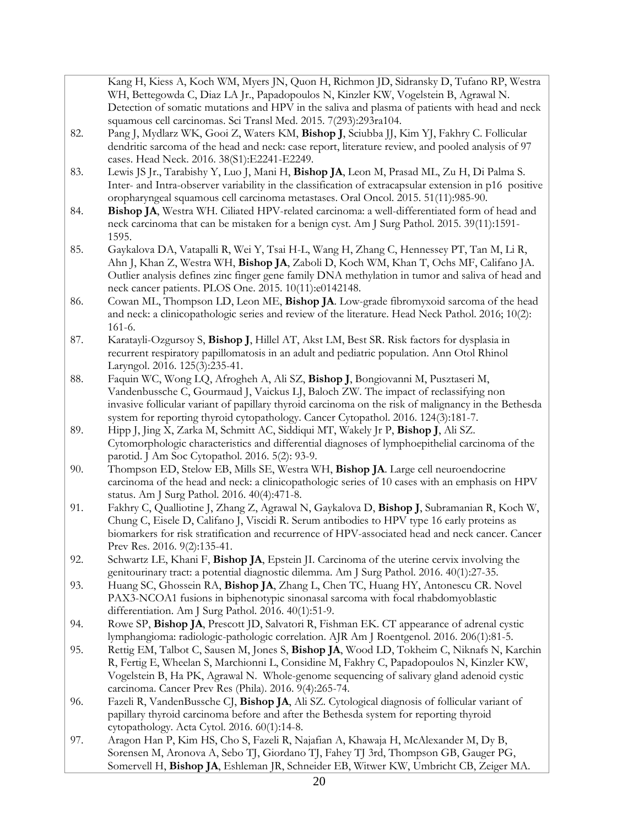Kang H, Kiess A, Koch WM, Myers JN, Quon H, Richmon JD, Sidransky D, Tufano RP, Westra WH, Bettegowda C, Diaz LA Jr., Papadopoulos N, Kinzler KW, Vogelstein B, Agrawal N. Detection of somatic mutations and HPV in the saliva and plasma of patients with head and neck squamous cell carcinomas. Sci Transl Med. 2015. 7(293):293ra104.

- 82. Pang J, Mydlarz WK, Gooi Z, Waters KM, **Bishop J**, Sciubba JJ, Kim YJ, Fakhry C. Follicular dendritic sarcoma of the head and neck: case report, literature review, and pooled analysis of 97 cases. Head Neck. 2016. 38(S1):E2241-E2249.
- 83. Lewis JS Jr., Tarabishy Y, Luo J, Mani H, **Bishop JA**, Leon M, Prasad ML, Zu H, Di Palma S. Inter- and Intra-observer variability in the classification of extracapsular extension in p16 positive oropharyngeal squamous cell carcinoma metastases. Oral Oncol. 2015. 51(11):985-90.
- 84. **Bishop JA**, Westra WH. Ciliated HPV-related carcinoma: a well-differentiated form of head and neck carcinoma that can be mistaken for a benign cyst. Am J Surg Pathol. 2015. 39(11):1591- 1595.
- 85. Gaykalova DA, Vatapalli R, Wei Y, Tsai H-L, Wang H, Zhang C, Hennessey PT, Tan M, Li R, Ahn J, Khan Z, Westra WH, **Bishop JA**, Zaboli D, Koch WM, Khan T, Ochs MF, Califano JA. Outlier analysis defines zinc finger gene family DNA methylation in tumor and saliva of head and neck cancer patients. PLOS One. 2015. 10(11):e0142148.
- 86. Cowan ML, Thompson LD, Leon ME, **Bishop JA**. Low-grade fibromyxoid sarcoma of the head and neck: a clinicopathologic series and review of the literature. Head Neck Pathol. 2016; 10(2): 161-6.
- 87. Karatayli-Ozgursoy S, **Bishop J**, Hillel AT, Akst LM, Best SR. Risk factors for dysplasia in recurrent respiratory papillomatosis in an adult and pediatric population. Ann Otol Rhinol Laryngol. 2016. 125(3):235-41.
- 88. Faquin WC, Wong LQ, Afrogheh A, Ali SZ, **Bishop J**, Bongiovanni M, Pusztaseri M, Vandenbussche C, Gourmaud J, Vaickus LJ, Baloch ZW. The impact of reclassifying non invasive follicular variant of papillary thyroid carcinoma on the risk of malignancy in the Bethesda system for reporting thyroid cytopathology. Cancer Cytopathol. 2016. 124(3):181-7.
- 89. Hipp J, Jing X, Zarka M, Schmitt AC, Siddiqui MT, Wakely Jr P, **Bishop J**, Ali SZ. Cytomorphologic characteristics and differential diagnoses of lymphoepithelial carcinoma of the parotid. J Am Soc Cytopathol. 2016. 5(2): 93-9.
- 90. Thompson ED, Stelow EB, Mills SE, Westra WH, **Bishop JA**. Large cell neuroendocrine carcinoma of the head and neck: a clinicopathologic series of 10 cases with an emphasis on HPV status. Am J Surg Pathol. 2016. 40(4):471-8.
- 91. Fakhry C, Qualliotine J, Zhang Z, Agrawal N, Gaykalova D, **Bishop J**, Subramanian R, Koch W, Chung C, Eisele D, Califano J, Viscidi R. Serum antibodies to HPV type 16 early proteins as biomarkers for risk stratification and recurrence of HPV-associated head and neck cancer. Cancer Prev Res. 2016. 9(2):135-41.
- 92. Schwartz LE, Khani F, **Bishop JA**, Epstein JI. Carcinoma of the uterine cervix involving the genitourinary tract: a potential diagnostic dilemma. Am J Surg Pathol. 2016. 40(1):27-35.
- 93. Huang SC, Ghossein RA, **Bishop JA**, Zhang L, Chen TC, Huang HY, Antonescu CR. Novel PAX3-NCOA1 fusions in biphenotypic sinonasal sarcoma with focal rhabdomyoblastic differentiation. Am J Surg Pathol. 2016. 40(1):51-9.
- 94. Rowe SP, **Bishop JA**, Prescott JD, Salvatori R, Fishman EK. CT appearance of adrenal cystic lymphangioma: radiologic-pathologic correlation. AJR Am J Roentgenol. 2016. 206(1):81-5.
- 95. Rettig EM, Talbot C, Sausen M, Jones S, **Bishop JA**, Wood LD, Tokheim C, Niknafs N, Karchin R, Fertig E, Wheelan S, Marchionni L, Considine M, Fakhry C, Papadopoulos N, Kinzler KW, Vogelstein B, Ha PK, Agrawal N. Whole-genome sequencing of salivary gland adenoid cystic carcinoma. Cancer Prev Res (Phila). 2016. 9(4):265-74.
- 96. Fazeli R, VandenBussche CJ, **Bishop JA**, Ali SZ. Cytological diagnosis of follicular variant of papillary thyroid carcinoma before and after the Bethesda system for reporting thyroid cytopathology. Acta Cytol. 2016. 60(1):14-8.
- 97. Aragon Han P, Kim HS, Cho S, Fazeli R, Najafian A, Khawaja H, McAlexander M, Dy B, Sorensen M, Aronova A, Sebo TJ, Giordano TJ, Fahey TJ 3rd, Thompson GB, Gauger PG, Somervell H, **Bishop JA**, Eshleman JR, Schneider EB, Witwer KW, Umbricht CB, Zeiger MA.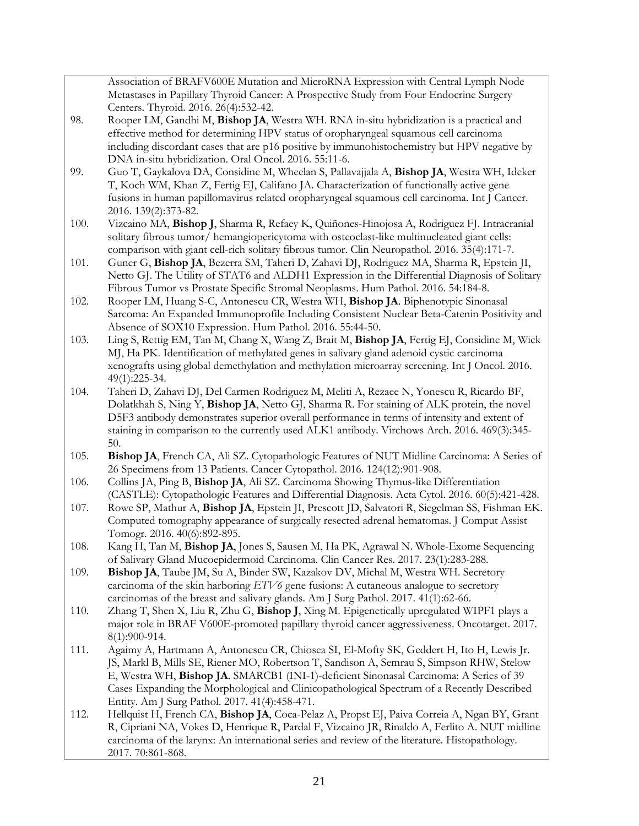Association of BRAFV600E Mutation and MicroRNA Expression with Central Lymph Node Metastases in Papillary Thyroid Cancer: A Prospective Study from Four Endocrine Surgery Centers. Thyroid. 2016. 26(4):532-42.

- 98. Rooper LM, Gandhi M, **Bishop JA**, Westra WH. RNA in-situ hybridization is a practical and effective method for determining HPV status of oropharyngeal squamous cell carcinoma including discordant cases that are p16 positive by immunohistochemistry but HPV negative by DNA in-situ hybridization. Oral Oncol. 2016. 55:11-6.
- 99. Guo T, Gaykalova DA, Considine M, Wheelan S, Pallavajjala A, **Bishop JA**, Westra WH, Ideker T, Koch WM, Khan Z, Fertig EJ, Califano JA. Characterization of functionally active gene fusions in human papillomavirus related oropharyngeal squamous cell carcinoma. Int J Cancer. 2016. 139(2):373-82.
- 100. Vizcaino MA, **Bishop J**, Sharma R, Refaey K, Quiñones-Hinojosa A, Rodriguez FJ. Intracranial solitary fibrous tumor/ hemangiopericytoma with osteoclast-like multinucleated giant cells: comparison with giant cell-rich solitary fibrous tumor. Clin Neuropathol. 2016. 35(4):171-7.
- 101. Guner G, **Bishop JA**, Bezerra SM, Taheri D, Zahavi DJ, Rodriguez MA, Sharma R, Epstein JI, Netto GJ. The Utility of STAT6 and ALDH1 Expression in the Differential Diagnosis of Solitary Fibrous Tumor vs Prostate Specific Stromal Neoplasms. Hum Pathol. 2016. 54:184-8.
- 102. Rooper LM, Huang S-C, Antonescu CR, Westra WH, **Bishop JA**. Biphenotypic Sinonasal Sarcoma: An Expanded Immunoprofile Including Consistent Nuclear Beta-Catenin Positivity and Absence of SOX10 Expression. Hum Pathol. 2016. 55:44-50.
- 103. Ling S, Rettig EM, Tan M, Chang X, Wang Z, Brait M, **Bishop JA**, Fertig EJ, Considine M, Wick MJ, Ha PK. Identification of methylated genes in salivary gland adenoid cystic carcinoma xenografts using global demethylation and methylation microarray screening. Int J Oncol. 2016. 49(1):225-34.
- 104. Taheri D, Zahavi DJ, Del Carmen Rodriguez M, Meliti A, Rezaee N, Yonescu R, Ricardo BF, Dolatkhah S, Ning Y, **Bishop JA**, Netto GJ, Sharma R. For staining of ALK protein, the novel D5F3 antibody demonstrates superior overall performance in terms of intensity and extent of staining in comparison to the currently used ALK1 antibody. Virchows Arch. 2016. 469(3):345- 50.
- 105. **Bishop JA**, French CA, Ali SZ. Cytopathologic Features of NUT Midline Carcinoma: A Series of 26 Specimens from 13 Patients. Cancer Cytopathol. 2016. 124(12):901-908.
- 106. Collins JA, Ping B, **Bishop JA**, Ali SZ. Carcinoma Showing Thymus-like Differentiation (CASTLE): Cytopathologic Features and Differential Diagnosis. Acta Cytol. 2016. 60(5):421-428.
- 107. Rowe SP, Mathur A, **Bishop JA**, Epstein JI, Prescott JD, Salvatori R, Siegelman SS, Fishman EK. Computed tomography appearance of surgically resected adrenal hematomas. J Comput Assist Tomogr. 2016. 40(6):892-895.
- 108. Kang H, Tan M, **Bishop JA**, Jones S, Sausen M, Ha PK, Agrawal N. Whole-Exome Sequencing of Salivary Gland Mucoepidermoid Carcinoma. Clin Cancer Res. 2017. 23(1):283-288.
- 109. **Bishop JA**, Taube JM, Su A, Binder SW, Kazakov DV, Michal M, Westra WH. Secretory carcinoma of the skin harboring *ETV6* gene fusions: A cutaneous analogue to secretory carcinomas of the breast and salivary glands. Am J Surg Pathol. 2017. 41(1):62-66.
- 110. Zhang T, Shen X, Liu R, Zhu G, **Bishop J**, Xing M. Epigenetically upregulated WIPF1 plays a major role in BRAF V600E-promoted papillary thyroid cancer aggressiveness. Oncotarget. 2017. 8(1):900-914.
- 111. Agaimy A, Hartmann A, Antonescu CR, Chiosea SI, El-Mofty SK, Geddert H, Ito H, Lewis Jr. JS, Markl B, Mills SE, Riener MO, Robertson T, Sandison A, Semrau S, Simpson RHW, Stelow E, Westra WH, **Bishop JA**. SMARCB1 (INI-1)-deficient Sinonasal Carcinoma: A Series of 39 Cases Expanding the Morphological and Clinicopathological Spectrum of a Recently Described Entity. Am J Surg Pathol. 2017. 41(4):458-471.
- 112. Hellquist H, French CA, **Bishop JA**, Coca-Pelaz A, Propst EJ, Paiva Correia A, Ngan BY, Grant R, Cipriani NA, Vokes D, Henrique R, Pardal F, Vizcaino JR, Rinaldo A, Ferlito A. NUT midline carcinoma of the larynx: An international series and review of the literature. Histopathology. 2017. 70:861-868.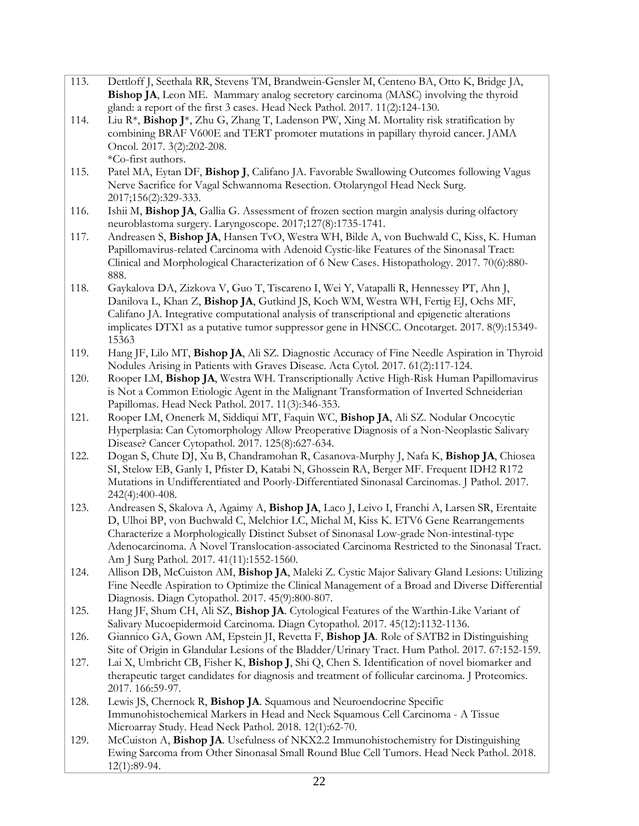- 113. Dettloff J, Seethala RR, Stevens TM, Brandwein-Gensler M, Centeno BA, Otto K, Bridge JA, **Bishop JA**, Leon ME. Mammary analog secretory carcinoma (MASC) involving the thyroid gland: a report of the first 3 cases. Head Neck Pathol. 2017. 11(2):124-130.
- 114. Liu R\*, **Bishop J**\*, Zhu G, Zhang T, Ladenson PW, Xing M. Mortality risk stratification by combining BRAF V600E and TERT promoter mutations in papillary thyroid cancer. JAMA Oncol. 2017. 3(2):202-208. \*Co-first authors.
- 115. Patel MA, Eytan DF, **Bishop J**, Califano JA. Favorable Swallowing Outcomes following Vagus Nerve Sacrifice for Vagal Schwannoma Resection. Otolaryngol Head Neck Surg. 2017;156(2):329-333.
- 116. Ishii M, **Bishop JA**, Gallia G. Assessment of frozen section margin analysis during olfactory neuroblastoma surgery. Laryngoscope. 2017;127(8):1735-1741.
- 117. Andreasen S, **Bishop JA**, Hansen TvO, Westra WH, Bilde A, von Buchwald C, Kiss, K. Human Papillomavirus-related Carcinoma with Adenoid Cystic-like Features of the Sinonasal Tract: Clinical and Morphological Characterization of 6 New Cases. Histopathology. 2017. 70(6):880- 888.
- 118. Gaykalova DA, Zizkova V, Guo T, Tiscareno I, Wei Y, Vatapalli R, Hennessey PT, Ahn J, Danilova L, Khan Z, **Bishop JA**, Gutkind JS, Koch WM, Westra WH, Fertig EJ, Ochs MF, Califano JA. Integrative computational analysis of transcriptional and epigenetic alterations implicates DTX1 as a putative tumor suppressor gene in HNSCC. Oncotarget. 2017. 8(9):15349- 15363
- 119. Hang JF, Lilo MT, **Bishop JA**, Ali SZ. Diagnostic Accuracy of Fine Needle Aspiration in Thyroid Nodules Arising in Patients with Graves Disease. Acta Cytol. 2017. 61(2):117-124.
- 120. Rooper LM, **Bishop JA**, Westra WH. Transcriptionally Active High-Risk Human Papillomavirus is Not a Common Etiologic Agent in the Malignant Transformation of Inverted Schneiderian Papillomas. Head Neck Pathol. 2017. 11(3):346-353.
- 121. Rooper LM, Onenerk M, Siddiqui MT, Faquin WC, **Bishop JA**, Ali SZ. Nodular Oncocytic Hyperplasia: Can Cytomorphology Allow Preoperative Diagnosis of a Non-Neoplastic Salivary Disease? Cancer Cytopathol. 2017. 125(8):627-634.
- 122. Dogan S, Chute DJ, Xu B, Chandramohan R, Casanova-Murphy J, Nafa K, **Bishop JA**, Chiosea SI, Stelow EB, Ganly I, Pfister D, Katabi N, Ghossein RA, Berger MF. Frequent IDH2 R172 Mutations in Undifferentiated and Poorly-Differentiated Sinonasal Carcinomas. J Pathol. 2017. 242(4):400-408.
- 123. Andreasen S, Skalova A, Agaimy A, **Bishop JA**, Laco J, Leivo I, Franchi A, Larsen SR, Erentaite D, Ulhoi BP, von Buchwald C, Melchior LC, Michal M, Kiss K. ETV6 Gene Rearrangements Characterize a Morphologically Distinct Subset of Sinonasal Low-grade Non-intestinal-type Adenocarcinoma. A Novel Translocation-associated Carcinoma Restricted to the Sinonasal Tract. Am J Surg Pathol. 2017. 41(11):1552-1560.
- 124. Allison DB, McCuiston AM, **Bishop JA**, Maleki Z. Cystic Major Salivary Gland Lesions: Utilizing Fine Needle Aspiration to Optimize the Clinical Management of a Broad and Diverse Differential Diagnosis. Diagn Cytopathol. 2017. 45(9):800-807.
- 125. Hang JF, Shum CH, Ali SZ, **Bishop JA**. Cytological Features of the Warthin-Like Variant of Salivary Mucoepidermoid Carcinoma. Diagn Cytopathol. 2017. 45(12):1132-1136.
- 126. Giannico GA, Gown AM, Epstein JI, Revetta F, **Bishop JA**. Role of SATB2 in Distinguishing Site of Origin in Glandular Lesions of the Bladder/Urinary Tract. Hum Pathol. 2017. 67:152-159.
- 127. Lai X, Umbricht CB, Fisher K, **Bishop J**, Shi Q, Chen S. Identification of novel biomarker and therapeutic target candidates for diagnosis and treatment of follicular carcinoma. J Proteomics. 2017. 166:59-97.
- 128. Lewis JS, Chernock R, **Bishop JA**. Squamous and Neuroendocrine Specific Immunohistochemical Markers in Head and Neck Squamous Cell Carcinoma - A Tissue Microarray Study. Head Neck Pathol. 2018. 12(1):62-70.
- 129. McCuiston A, **Bishop JA**. Usefulness of NKX2.2 Immunohistochemistry for Distinguishing Ewing Sarcoma from Other Sinonasal Small Round Blue Cell Tumors. Head Neck Pathol. 2018. 12(1):89-94.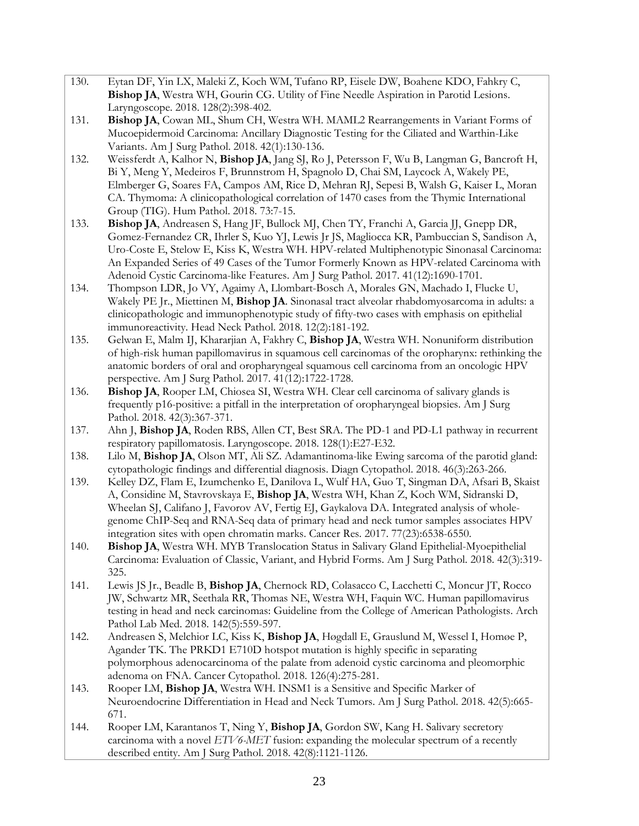- 130. Eytan DF, Yin LX, Maleki Z, Koch WM, Tufano RP, Eisele DW, Boahene KDO, Fahkry C, **Bishop JA**, Westra WH, Gourin CG. Utility of Fine Needle Aspiration in Parotid Lesions. Laryngoscope. 2018. 128(2):398-402.
- 131. **Bishop JA**, Cowan ML, Shum CH, Westra WH. MAML2 Rearrangements in Variant Forms of Mucoepidermoid Carcinoma: Ancillary Diagnostic Testing for the Ciliated and Warthin-Like Variants. Am J Surg Pathol. 2018. 42(1):130-136.
- 132. Weissferdt A, Kalhor N, **Bishop JA**, Jang SJ, Ro J, Petersson F, Wu B, Langman G, Bancroft H, Bi Y, Meng Y, Medeiros F, Brunnstrom H, Spagnolo D, Chai SM, Laycock A, Wakely PE, Elmberger G, Soares FA, Campos AM, Rice D, Mehran RJ, Sepesi B, Walsh G, Kaiser L, Moran CA. Thymoma: A clinicopathological correlation of 1470 cases from the Thymic International Group (TIG). Hum Pathol. 2018. 73:7-15.
- 133. **Bishop JA**, Andreasen S, Hang JF, Bullock MJ, Chen TY, Franchi A, Garcia JJ, Gnepp DR, Gomez-Fernandez CR, Ihrler S, Kuo YJ, Lewis Jr JS, Magliocca KR, Pambuccian S, Sandison A, Uro-Coste E, Stelow E, Kiss K, Westra WH. HPV-related Multiphenotypic Sinonasal Carcinoma: An Expanded Series of 49 Cases of the Tumor Formerly Known as HPV-related Carcinoma with Adenoid Cystic Carcinoma-like Features. Am J Surg Pathol. 2017. 41(12):1690-1701.
- 134. Thompson LDR, Jo VY, Agaimy A, Llombart-Bosch A, Morales GN, Machado I, Flucke U, Wakely PE Jr., Miettinen M, **Bishop JA**. Sinonasal tract alveolar rhabdomyosarcoma in adults: a clinicopathologic and immunophenotypic study of fifty-two cases with emphasis on epithelial immunoreactivity. Head Neck Pathol. 2018. 12(2):181-192.
- 135. Gelwan E, Malm IJ, Khararjian A, Fakhry C, **Bishop JA**, Westra WH. Nonuniform distribution of high-risk human papillomavirus in squamous cell carcinomas of the oropharynx: rethinking the anatomic borders of oral and oropharyngeal squamous cell carcinoma from an oncologic HPV perspective. Am J Surg Pathol. 2017. 41(12):1722-1728.
- 136. **Bishop JA**, Rooper LM, Chiosea SI, Westra WH. Clear cell carcinoma of salivary glands is frequently p16-positive: a pitfall in the interpretation of oropharyngeal biopsies. Am J Surg Pathol. 2018. 42(3):367-371.
- 137. Ahn J, **Bishop JA**, Roden RBS, Allen CT, Best SRA. The PD-1 and PD-L1 pathway in recurrent respiratory papillomatosis. Laryngoscope. 2018. 128(1):E27-E32.
- 138. Lilo M, **Bishop JA**, Olson MT, Ali SZ. Adamantinoma-like Ewing sarcoma of the parotid gland: cytopathologic findings and differential diagnosis. Diagn Cytopathol. 2018. 46(3):263-266.
- 139. Kelley DZ, Flam E, Izumchenko E, Danilova L, Wulf HA, Guo T, Singman DA, Afsari B, Skaist A, Considine M, Stavrovskaya E, **Bishop JA**, Westra WH, Khan Z, Koch WM, Sidranski D, Wheelan SJ, Califano J, Favorov AV, Fertig EJ, Gaykalova DA. Integrated analysis of wholegenome ChIP-Seq and RNA-Seq data of primary head and neck tumor samples associates HPV integration sites with open chromatin marks. Cancer Res. 2017. 77(23):6538-6550.
- 140. **Bishop JA**, Westra WH. MYB Translocation Status in Salivary Gland Epithelial-Myoepithelial Carcinoma: Evaluation of Classic, Variant, and Hybrid Forms. Am J Surg Pathol. 2018. 42(3):319- 325.
- 141. Lewis JS Jr., Beadle B, **Bishop JA**, Chernock RD, Colasacco C, Lacchetti C, Moncur JT, Rocco JW, Schwartz MR, Seethala RR, Thomas NE, Westra WH, Faquin WC. Human papillomavirus testing in head and neck carcinomas: Guideline from the College of American Pathologists. Arch Pathol Lab Med. 2018. 142(5):559-597.
- 142. Andreasen S, Melchior LC, Kiss K, **Bishop JA**, Høgdall E, Grauslund M, Wessel I, Homøe P, Agander TK. The PRKD1 E710D hotspot mutation is highly specific in separating polymorphous adenocarcinoma of the palate from adenoid cystic carcinoma and pleomorphic adenoma on FNA. Cancer Cytopathol. 2018. 126(4):275-281.
- 143. Rooper LM, **Bishop JA**, Westra WH. INSM1 is a Sensitive and Specific Marker of Neuroendocrine Differentiation in Head and Neck Tumors. Am J Surg Pathol. 2018. 42(5):665- 671.
- 144. Rooper LM, Karantanos T, Ning Y, **Bishop JA**, Gordon SW, Kang H. Salivary secretory carcinoma with a novel *ETV6-MET* fusion: expanding the molecular spectrum of a recently described entity. Am J Surg Pathol. 2018. 42(8):1121-1126.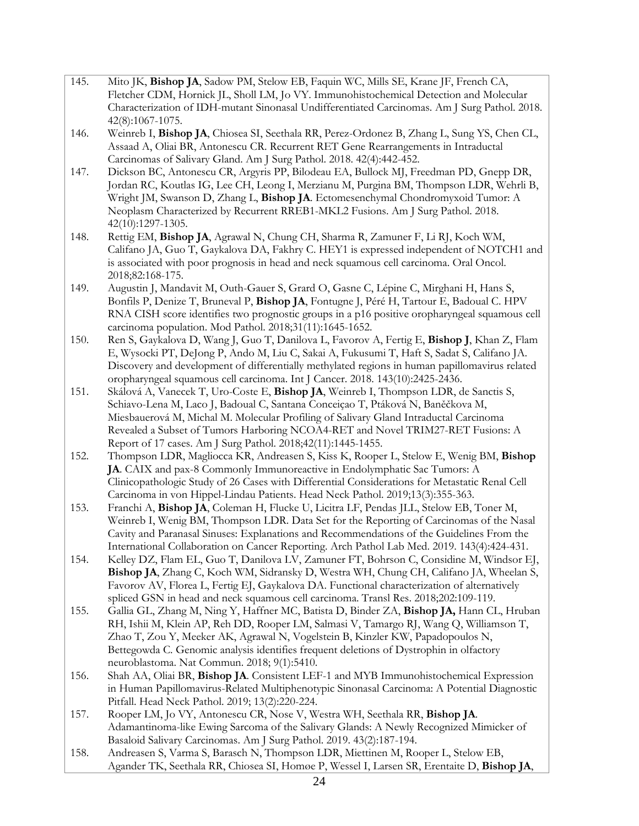- 145. Mito JK, **Bishop JA**, Sadow PM, Stelow EB, Faquin WC, Mills SE, Krane JF, French CA, Fletcher CDM, Hornick JL, Sholl LM, Jo VY. Immunohistochemical Detection and Molecular Characterization of IDH-mutant Sinonasal Undifferentiated Carcinomas. Am J Surg Pathol. 2018. 42(8):1067-1075.
- 146. Weinreb I, **Bishop JA**, Chiosea SI, Seethala RR, Perez-Ordonez B, Zhang L, Sung YS, Chen CL, Assaad A, Oliai BR, Antonescu CR. Recurrent RET Gene Rearrangements in Intraductal Carcinomas of Salivary Gland. Am J Surg Pathol. 2018. 42(4):442-452.
- 147. Dickson BC, Antonescu CR, Argyris PP, Bilodeau EA, Bullock MJ, Freedman PD, Gnepp DR, Jordan RC, Koutlas IG, Lee CH, Leong I, Merzianu M, Purgina BM, Thompson LDR, Wehrli B, Wright JM, Swanson D, Zhang L, **Bishop JA**. Ectomesenchymal Chondromyxoid Tumor: A Neoplasm Characterized by Recurrent RREB1-MKL2 Fusions. Am J Surg Pathol. 2018. 42(10):1297-1305.
- 148. Rettig EM, **Bishop JA**, Agrawal N, Chung CH, Sharma R, Zamuner F, Li RJ, Koch WM, Califano JA, Guo T, Gaykalova DA, Fakhry C. HEY1 is expressed independent of NOTCH1 and is associated with poor prognosis in head and neck squamous cell carcinoma. Oral Oncol. 2018;82:168-175.
- 149. Augustin J, Mandavit M, Outh-Gauer S, Grard O, Gasne C, Lépine C, Mirghani H, Hans S, Bonfils P, Denize T, Bruneval P, **Bishop JA**, Fontugne J, Péré H, Tartour E, Badoual C. HPV RNA CISH score identifies two prognostic groups in a p16 positive oropharyngeal squamous cell carcinoma population. Mod Pathol. 2018;31(11):1645-1652.
- 150. Ren S, Gaykalova D, Wang J, Guo T, Danilova L, Favorov A, Fertig E, **Bishop J**, Khan Z, Flam E, Wysocki PT, DeJong P, Ando M, Liu C, Sakai A, Fukusumi T, Haft S, Sadat S, Califano JA. Discovery and development of differentially methylated regions in human papillomavirus related oropharyngeal squamous cell carcinoma. Int J Cancer. 2018. 143(10):2425-2436.
- 151. Skálová A, Vanecek T, Uro-Coste E, **Bishop JA**, Weinreb I, Thompson LDR, de Sanctis S, Schiavo-Lena M, Laco J, Badoual C, Santana Conceiçao T, Ptáková N, Baněčkova M, Miesbauerová M, Michal M. Molecular Profiling of Salivary Gland Intraductal Carcinoma Revealed a Subset of Tumors Harboring NCOA4-RET and Novel TRIM27-RET Fusions: A Report of 17 cases. Am J Surg Pathol. 2018;42(11):1445-1455.
- 152. Thompson LDR, Magliocca KR, Andreasen S, Kiss K, Rooper L, Stelow E, Wenig BM, **Bishop JA**. CAIX and pax-8 Commonly Immunoreactive in Endolymphatic Sac Tumors: A Clinicopathologic Study of 26 Cases with Differential Considerations for Metastatic Renal Cell Carcinoma in von Hippel-Lindau Patients. Head Neck Pathol. 2019;13(3):355-363.
- 153. Franchi A, **Bishop JA**, Coleman H, Flucke U, Licitra LF, Pendas JLL, Stelow EB, Toner M, Weinreb I, Wenig BM, Thompson LDR. Data Set for the Reporting of Carcinomas of the Nasal Cavity and Paranasal Sinuses: Explanations and Recommendations of the Guidelines From the International Collaboration on Cancer Reporting. Arch Pathol Lab Med. 2019. 143(4):424-431.
- 154. Kelley DZ, Flam EL, Guo T, Danilova LV, Zamuner FT, Bohrson C, Considine M, Windsor EJ, **Bishop JA**, Zhang C, Koch WM, Sidransky D, Westra WH, Chung CH, Califano JA, Wheelan S, Favorov AV, Florea L, Fertig EJ, Gaykalova DA. Functional characterization of alternatively spliced GSN in head and neck squamous cell carcinoma. Transl Res. 2018;202:109-119.
- 155. Gallia GL, Zhang M, Ning Y, Haffner MC, Batista D, Binder ZA, **Bishop JA,** Hann CL, Hruban RH, Ishii M, Klein AP, Reh DD, Rooper LM, Salmasi V, Tamargo RJ, Wang Q, Williamson T, Zhao T, Zou Y, Meeker AK, Agrawal N, Vogelstein B, Kinzler KW, Papadopoulos N, Bettegowda C. Genomic analysis identifies frequent deletions of Dystrophin in olfactory neuroblastoma. Nat Commun. 2018; 9(1):5410.
- 156. Shah AA, Oliai BR, **Bishop JA**. Consistent LEF-1 and MYB Immunohistochemical Expression in Human Papillomavirus-Related Multiphenotypic Sinonasal Carcinoma: A Potential Diagnostic Pitfall. Head Neck Pathol. 2019; 13(2):220-224.
- 157. Rooper LM, Jo VY, Antonescu CR, Nose V, Westra WH, Seethala RR, **Bishop JA**. Adamantinoma-like Ewing Sarcoma of the Salivary Glands: A Newly Recognized Mimicker of Basaloid Salivary Carcinomas. Am J Surg Pathol. 2019. 43(2):187-194.
- 158. Andreasen S, Varma S, Barasch N, Thompson LDR, Miettinen M, Rooper L, Stelow EB, Agander TK, Seethala RR, Chiosea SI, Homøe P, Wessel I, Larsen SR, Erentaite D, **Bishop JA**,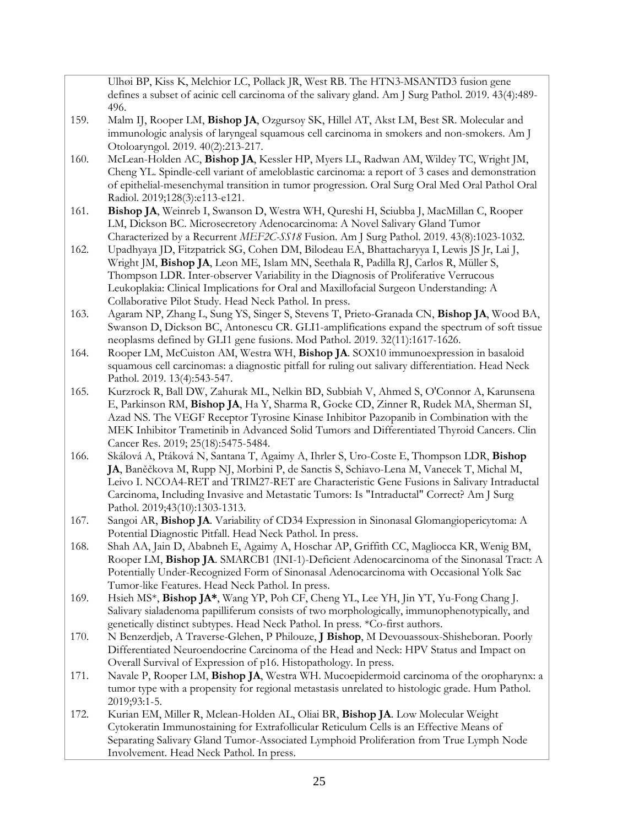Ulhøi BP, Kiss K, Melchior LC, Pollack JR, West RB. The HTN3-MSANTD3 fusion gene defines a subset of acinic cell carcinoma of the salivary gland. Am J Surg Pathol. 2019. 43(4):489- 496.

- 159. Malm IJ, Rooper LM, **Bishop JA**, Ozgursoy SK, Hillel AT, Akst LM, Best SR. Molecular and immunologic analysis of laryngeal squamous cell carcinoma in smokers and non-smokers. Am J Otoloaryngol. 2019. 40(2):213-217.
- 160. McLean-Holden AC, **Bishop JA**, Kessler HP, Myers LL, Radwan AM, Wildey TC, Wright JM, Cheng YL. Spindle-cell variant of ameloblastic carcinoma: a report of 3 cases and demonstration of epithelial-mesenchymal transition in tumor progression. Oral Surg Oral Med Oral Pathol Oral Radiol. 2019;128(3):e113-e121.
- 161. **Bishop JA**, Weinreb I, Swanson D, Westra WH, Qureshi H, Sciubba J, MacMillan C, Rooper LM, Dickson BC. Microsecretory Adenocarcinoma: A Novel Salivary Gland Tumor Characterized by a Recurrent *MEF2C-SS18* Fusion. Am J Surg Pathol. 2019. 43(8):1023-1032.
- 162. Upadhyaya JD, Fitzpatrick SG, Cohen DM, Bilodeau EA, Bhattacharyya I, Lewis JS Jr, Lai J, Wright JM, **Bishop JA**, Leon ME, Islam MN, Seethala R, Padilla RJ, Carlos R, Müller S, Thompson LDR. Inter-observer Variability in the Diagnosis of Proliferative Verrucous Leukoplakia: Clinical Implications for Oral and Maxillofacial Surgeon Understanding: A Collaborative Pilot Study. Head Neck Pathol. In press.
- 163. Agaram NP, Zhang L, Sung YS, Singer S, Stevens T, Prieto-Granada CN, **Bishop JA**, Wood BA, Swanson D, Dickson BC, Antonescu CR. GLI1-amplifications expand the spectrum of soft tissue neoplasms defined by GLI1 gene fusions. Mod Pathol. 2019. 32(11):1617-1626.
- 164. Rooper LM, McCuiston AM, Westra WH, **Bishop JA**. SOX10 immunoexpression in basaloid squamous cell carcinomas: a diagnostic pitfall for ruling out salivary differentiation. Head Neck Pathol. 2019. 13(4):543-547.
- 165. Kurzrock R, Ball DW, Zahurak ML, Nelkin BD, Subbiah V, Ahmed S, O'Connor A, Karunsena E, Parkinson RM, **Bishop JA**, Ha Y, Sharma R, Gocke CD, Zinner R, Rudek MA, Sherman SI, Azad NS. The VEGF Receptor Tyrosine Kinase Inhibitor Pazopanib in Combination with the MEK Inhibitor Trametinib in Advanced Solid Tumors and Differentiated Thyroid Cancers. Clin Cancer Res. 2019; 25(18):5475-5484.
- 166. Skálová A, Ptáková N, Santana T, Agaimy A, Ihrler S, Uro-Coste E, Thompson LDR, **Bishop JA**, Baněčkova M, Rupp NJ, Morbini P, de Sanctis S, Schiavo-Lena M, Vanecek T, Michal M, Leivo I. NCOA4-RET and TRIM27-RET are Characteristic Gene Fusions in Salivary Intraductal Carcinoma, Including Invasive and Metastatic Tumors: Is "Intraductal" Correct? Am J Surg Pathol. 2019;43(10):1303-1313.
- 167. Sangoi AR, **Bishop JA**. Variability of CD34 Expression in Sinonasal Glomangiopericytoma: A Potential Diagnostic Pitfall. Head Neck Pathol. In press.
- 168. Shah AA, Jain D, Ababneh E, Agaimy A, Hoschar AP, Griffith CC, Magliocca KR, Wenig BM, Rooper LM, **Bishop JA**. SMARCB1 (INI-1)-Deficient Adenocarcinoma of the Sinonasal Tract: A Potentially Under-Recognized Form of Sinonasal Adenocarcinoma with Occasional Yolk Sac Tumor-like Features. Head Neck Pathol. In press.
- 169. Hsieh MS\*, **Bishop JA\***, Wang YP, Poh CF, Cheng YL, Lee YH, Jin YT, Yu-Fong Chang J. Salivary sialadenoma papilliferum consists of two morphologically, immunophenotypically, and genetically distinct subtypes. Head Neck Pathol. In press. \*Co-first authors.
- 170. N Benzerdjeb, A Traverse-Glehen, P Philouze, **J Bishop**, M Devouassoux-Shisheboran. Poorly Differentiated Neuroendocrine Carcinoma of the Head and Neck: HPV Status and Impact on Overall Survival of Expression of p16. Histopathology. In press.
- 171. Navale P, Rooper LM, **Bishop JA**, Westra WH. Mucoepidermoid carcinoma of the oropharynx: a tumor type with a propensity for regional metastasis unrelated to histologic grade. Hum Pathol. 2019;93:1-5.
- 172. Kurian EM, Miller R, Mclean-Holden AL, Oliai BR, **Bishop JA**. Low Molecular Weight Cytokeratin Immunostaining for Extrafollicular Reticulum Cells is an Effective Means of Separating Salivary Gland Tumor-Associated Lymphoid Proliferation from True Lymph Node Involvement. Head Neck Pathol. In press.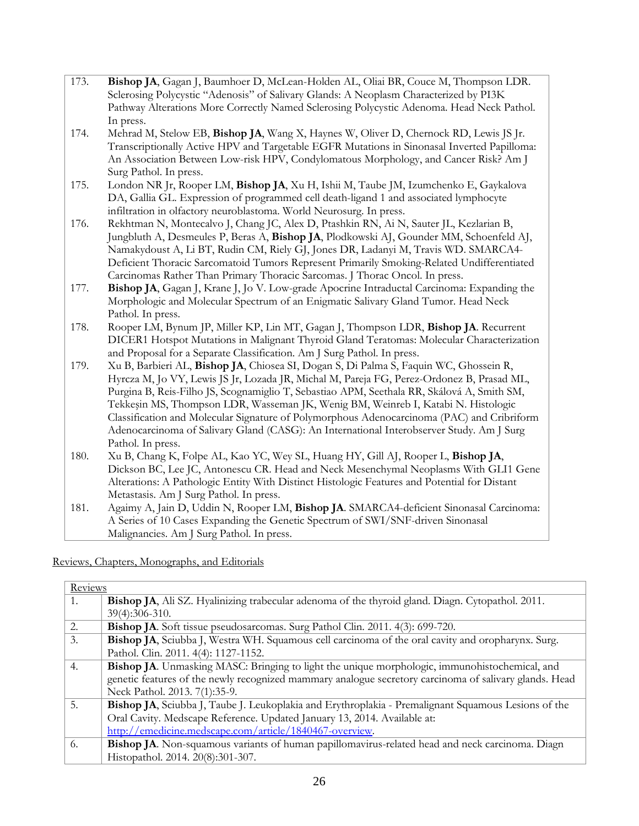| 173. | Bishop JA, Gagan J, Baumhoer D, McLean-Holden AL, Oliai BR, Couce M, Thompson LDR.           |
|------|----------------------------------------------------------------------------------------------|
|      | Sclerosing Polycystic "Adenosis" of Salivary Glands: A Neoplasm Characterized by PI3K        |
|      | Pathway Alterations More Correctly Named Sclerosing Polycystic Adenoma. Head Neck Pathol.    |
|      | In press.                                                                                    |
| 174. | Mehrad M, Stelow EB, Bishop JA, Wang X, Haynes W, Oliver D, Chernock RD, Lewis JS Jr.        |
|      | Transcriptionally Active HPV and Targetable EGFR Mutations in Sinonasal Inverted Papilloma:  |
|      | An Association Between Low-risk HPV, Condylomatous Morphology, and Cancer Risk? Am J         |
|      | Surg Pathol. In press.                                                                       |
| 175. | London NR Jr, Rooper LM, Bishop JA, Xu H, Ishii M, Taube JM, Izumchenko E, Gaykalova         |
|      | DA, Gallia GL. Expression of programmed cell death-ligand 1 and associated lymphocyte        |
|      | infiltration in olfactory neuroblastoma. World Neurosurg. In press.                          |
| 176. | Rekhtman N, Montecalvo J, Chang JC, Alex D, Ptashkin RN, Ai N, Sauter JL, Kezlarian B,       |
|      | Jungbluth A, Desmeules P, Beras A, Bishop JA, Plodkowski AJ, Gounder MM, Schoenfeld AJ,      |
|      | Namakydoust A, Li BT, Rudin CM, Riely GJ, Jones DR, Ladanyi M, Travis WD. SMARCA4-           |
|      | Deficient Thoracic Sarcomatoid Tumors Represent Primarily Smoking-Related Undifferentiated   |
|      | Carcinomas Rather Than Primary Thoracic Sarcomas. J Thorac Oncol. In press.                  |
| 177. | Bishop JA, Gagan J, Krane J, Jo V. Low-grade Apocrine Intraductal Carcinoma: Expanding the   |
|      | Morphologic and Molecular Spectrum of an Enigmatic Salivary Gland Tumor. Head Neck           |
|      | Pathol. In press.                                                                            |
| 178. | Rooper LM, Bynum JP, Miller KP, Lin MT, Gagan J, Thompson LDR, Bishop JA. Recurrent          |
|      | DICER1 Hotspot Mutations in Malignant Thyroid Gland Teratomas: Molecular Characterization    |
|      | and Proposal for a Separate Classification. Am J Surg Pathol. In press.                      |
| 179. | Xu B, Barbieri AL, Bishop JA, Chiosea SI, Dogan S, Di Palma S, Faquin WC, Ghossein R,        |
|      | Hyrcza M, Jo VY, Lewis JS Jr, Lozada JR, Michal M, Pareja FG, Perez-Ordonez B, Prasad ML,    |
|      | Purgina B, Reis-Filho JS, Scognamiglio T, Sebastiao APM, Seethala RR, Skálová A, Smith SM,   |
|      | Tekkeşin MS, Thompson LDR, Wasseman JK, Wenig BM, Weinreb I, Katabi N. Histologic            |
|      | Classification and Molecular Signature of Polymorphous Adenocarcinoma (PAC) and Cribriform   |
|      | Adenocarcinoma of Salivary Gland (CASG): An International Interobserver Study. Am J Surg     |
|      | Pathol. In press.                                                                            |
| 180. | Xu B, Chang K, Folpe AL, Kao YC, Wey SL, Huang HY, Gill AJ, Rooper L, Bishop JA,             |
|      | Dickson BC, Lee JC, Antonescu CR. Head and Neck Mesenchymal Neoplasms With GLI1 Gene         |
|      | Alterations: A Pathologic Entity With Distinct Histologic Features and Potential for Distant |
|      | Metastasis. Am J Surg Pathol. In press.                                                      |
| 181. | Agaimy A, Jain D, Uddin N, Rooper LM, Bishop JA. SMARCA4-deficient Sinonasal Carcinoma:      |
|      | A Series of 10 Cases Expanding the Genetic Spectrum of SWI/SNF-driven Sinonasal              |

Reviews, Chapters, Monographs, and Editorials

Malignancies. Am J Surg Pathol. In press.

| Reviews |                                                                                                        |
|---------|--------------------------------------------------------------------------------------------------------|
| 1.      | Bishop JA, Ali SZ. Hyalinizing trabecular adenoma of the thyroid gland. Diagn. Cytopathol. 2011.       |
|         | 39(4):306-310.                                                                                         |
| 2.      | Bishop JA. Soft tissue pseudosarcomas. Surg Pathol Clin. 2011. 4(3): 699-720.                          |
| 3.      | Bishop JA, Sciubba J, Westra WH. Squamous cell carcinoma of the oral cavity and oropharynx. Surg.      |
|         | Pathol. Clin. 2011. 4(4): 1127-1152.                                                                   |
| 4.      | Bishop JA. Unmasking MASC: Bringing to light the unique morphologic, immunohistochemical, and          |
|         | genetic features of the newly recognized mammary analogue secretory carcinoma of salivary glands. Head |
|         | Neck Pathol. 2013. 7(1):35-9.                                                                          |
| 5.      | Bishop JA, Sciubba J, Taube J. Leukoplakia and Erythroplakia - Premalignant Squamous Lesions of the    |
|         | Oral Cavity. Medscape Reference. Updated January 13, 2014. Available at:                               |
|         | http://emedicine.medscape.com/article/1840467-overview.                                                |
| 6.      | Bishop JA. Non-squamous variants of human papillomavirus-related head and neck carcinoma. Diagn        |
|         | Histopathol. 2014. 20(8):301-307.                                                                      |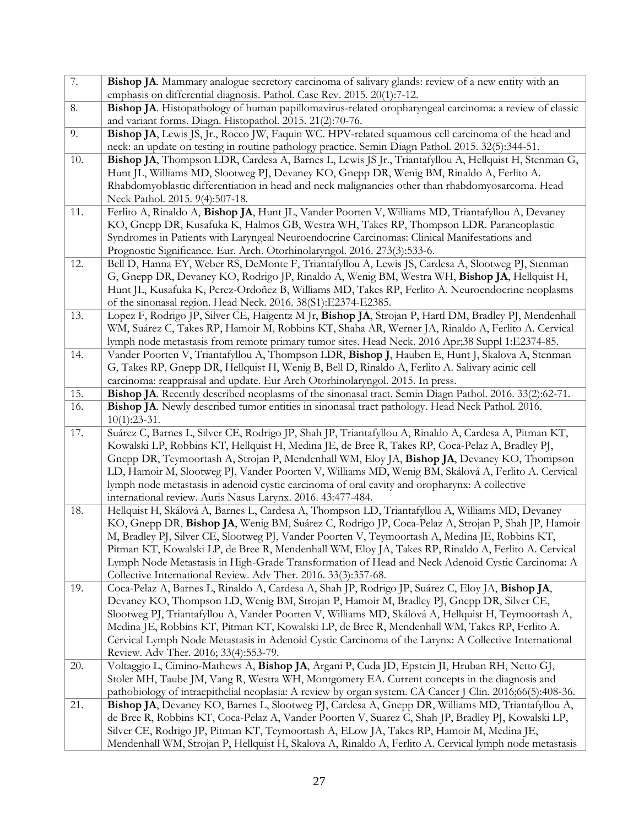| 7.  | Bishop JA. Mammary analogue secretory carcinoma of salivary glands: review of a new entity with an                                                                                                |
|-----|---------------------------------------------------------------------------------------------------------------------------------------------------------------------------------------------------|
|     | emphasis on differential diagnosis. Pathol. Case Rev. 2015. 20(1):7-12.                                                                                                                           |
| 8.  | Bishop JA. Histopathology of human papillomavirus-related oropharyngeal carcinoma: a review of classic                                                                                            |
|     | and variant forms. Diagn. Histopathol. 2015. 21(2):70-76.                                                                                                                                         |
| 9.  | Bishop JA, Lewis JS, Jr., Rocco JW, Faquin WC. HPV-related squamous cell carcinoma of the head and                                                                                                |
|     | neck: an update on testing in routine pathology practice. Semin Diagn Pathol. 2015. 32(5):344-51.                                                                                                 |
| 10. | Bishop JA, Thompson LDR, Cardesa A, Barnes L, Lewis JS Jr., Triantafyllou A, Hellquist H, Stenman G,                                                                                              |
|     | Hunt JL, Williams MD, Slootweg PJ, Devaney KO, Gnepp DR, Wenig BM, Rinaldo A, Ferlito A.                                                                                                          |
|     | Rhabdomyoblastic differentiation in head and neck malignancies other than rhabdomyosarcoma. Head                                                                                                  |
|     | Neck Pathol. 2015. 9(4):507-18.                                                                                                                                                                   |
| 11. | Ferlito A, Rinaldo A, Bishop JA, Hunt JL, Vander Poorten V, Williams MD, Triantafyllou A, Devaney                                                                                                 |
|     | KO, Gnepp DR, Kusafuka K, Halmos GB, Westra WH, Takes RP, Thompson LDR. Paraneoplastic                                                                                                            |
|     | Syndromes in Patients with Laryngeal Neuroendocrine Carcinomas: Clinical Manifestations and                                                                                                       |
|     | Prognostic Significance. Eur. Arch. Otorhinolaryngol. 2016. 273(3):533-6.                                                                                                                         |
| 12. | Bell D, Hanna EY, Weber RS, DeMonte F, Triantafyllou A, Lewis JS, Cardesa A, Slootweg PJ, Stenman<br>G, Gnepp DR, Devaney KO, Rodrigo JP, Rinaldo A, Wenig BM, Westra WH, Bishop JA, Hellquist H, |
|     | Hunt JL, Kusafuka K, Perez-Ordoñez B, Williams MD, Takes RP, Ferlito A. Neuroendocrine neoplasms                                                                                                  |
|     |                                                                                                                                                                                                   |
| 13. | of the sinonasal region. Head Neck. 2016. 38(S1):E2374-E2385.<br>Lopez F, Rodrigo JP, Silver CE, Haigentz M Jr, Bishop JA, Strojan P, Hartl DM, Bradley PJ, Mendenhall                            |
|     | WM, Suárez C, Takes RP, Hamoir M, Robbins KT, Shaha AR, Werner JA, Rinaldo A, Ferlito A. Cervical                                                                                                 |
|     | lymph node metastasis from remote primary tumor sites. Head Neck. 2016 Apr;38 Suppl 1:E2374-85.                                                                                                   |
| 14. | Vander Poorten V, Triantafyllou A, Thompson LDR, Bishop J, Hauben E, Hunt J, Skalova A, Stenman                                                                                                   |
|     | G, Takes RP, Gnepp DR, Hellquist H, Wenig B, Bell D, Rinaldo A, Ferlito A. Salivary acinic cell                                                                                                   |
|     | carcinoma: reappraisal and update. Eur Arch Otorhinolaryngol. 2015. In press.                                                                                                                     |
| 15. | Bishop JA. Recently described neoplasms of the sinonasal tract. Semin Diagn Pathol. 2016. 33(2):62-71.                                                                                            |
| 16. | Bishop JA. Newly described tumor entities in sinonasal tract pathology. Head Neck Pathol. 2016.                                                                                                   |
|     | $10(1):23-31.$                                                                                                                                                                                    |
| 17. | Suárez C, Barnes L, Silver CE, Rodrigo JP, Shah JP, Triantafyllou A, Rinaldo A, Cardesa A, Pitman KT,                                                                                             |
|     | Kowalski LP, Robbins KT, Hellquist H, Medina JE, de Bree R, Takes RP, Coca-Pelaz A, Bradley PJ,                                                                                                   |
|     | Gnepp DR, Teymoortash A, Strojan P, Mendenhall WM, Eloy JA, Bishop JA, Devaney KO, Thompson                                                                                                       |
|     | LD, Hamoir M, Slootweg PJ, Vander Poorten V, Williams MD, Wenig BM, Skálová A, Ferlito A. Cervical                                                                                                |
|     | lymph node metastasis in adenoid cystic carcinoma of oral cavity and oropharynx: A collective                                                                                                     |
|     | international review. Auris Nasus Larynx. 2016. 43:477-484.                                                                                                                                       |
| 18. | Hellquist H, Skálová A, Barnes L, Cardesa A, Thompson LD, Triantafyllou A, Williams MD, Devaney                                                                                                   |
|     | KO, Gnepp DR, Bishop JA, Wenig BM, Suárez C, Rodrigo JP, Coca-Pelaz A, Strojan P, Shah JP, Hamoir                                                                                                 |
|     | M, Bradley PJ, Silver CE, Slootweg PJ, Vander Poorten V, Teymoortash A, Medina JE, Robbins KT,                                                                                                    |
|     | Pitman KT, Kowalski LP, de Bree R, Mendenhall WM, Eloy JA, Takes RP, Rinaldo A, Ferlito A. Cervical                                                                                               |
|     | Lymph Node Metastasis in High-Grade Transformation of Head and Neck Adenoid Cystic Carcinoma: A                                                                                                   |
|     | Collective International Review. Adv Ther. 2016. 33(3):357-68.                                                                                                                                    |
| 19. | Coca-Pelaz A, Barnes L, Rinaldo A, Cardesa A, Shah JP, Rodrigo JP, Suárez C, Eloy JA, Bishop JA,                                                                                                  |
|     | Devaney KO, Thompson LD, Wenig BM, Strojan P, Hamoir M, Bradley PJ, Gnepp DR, Silver CE,                                                                                                          |
|     | Slootweg PJ, Triantafyllou A, Vander Poorten V, Williams MD, Skálová A, Hellquist H, Teymoortash A,                                                                                               |
|     | Medina JE, Robbins KT, Pitman KT, Kowalski LP, de Bree R, Mendenhall WM, Takes RP, Ferlito A.                                                                                                     |
|     | Cervical Lymph Node Metastasis in Adenoid Cystic Carcinoma of the Larynx: A Collective International                                                                                              |
|     | Review. Adv Ther. 2016; 33(4):553-79.                                                                                                                                                             |
| 20. | Voltaggio L, Cimino-Mathews A, Bishop JA, Argani P, Cuda JD, Epstein JI, Hruban RH, Netto GJ,                                                                                                     |
|     | Stoler MH, Taube JM, Vang R, Westra WH, Montgomery EA. Current concepts in the diagnosis and                                                                                                      |
|     | pathobiology of intraepithelial neoplasia: A review by organ system. CA Cancer J Clin. 2016;66(5):408-36.                                                                                         |
| 21. | Bishop JA, Devaney KO, Barnes L, Slootweg PJ, Cardesa A, Gnepp DR, Williams MD, Triantafyllou A,                                                                                                  |
|     | de Bree R, Robbins KT, Coca-Pelaz A, Vander Poorten V, Suarez C, Shah JP, Bradley PJ, Kowalski LP,                                                                                                |
|     | Silver CE, Rodrigo JP, Pitman KT, Teymoortash A, ELow JA, Takes RP, Hamoir M, Medina JE,                                                                                                          |
|     | Mendenhall WM, Strojan P, Hellquist H, Skalova A, Rinaldo A, Ferlito A. Cervical lymph node metastasis                                                                                            |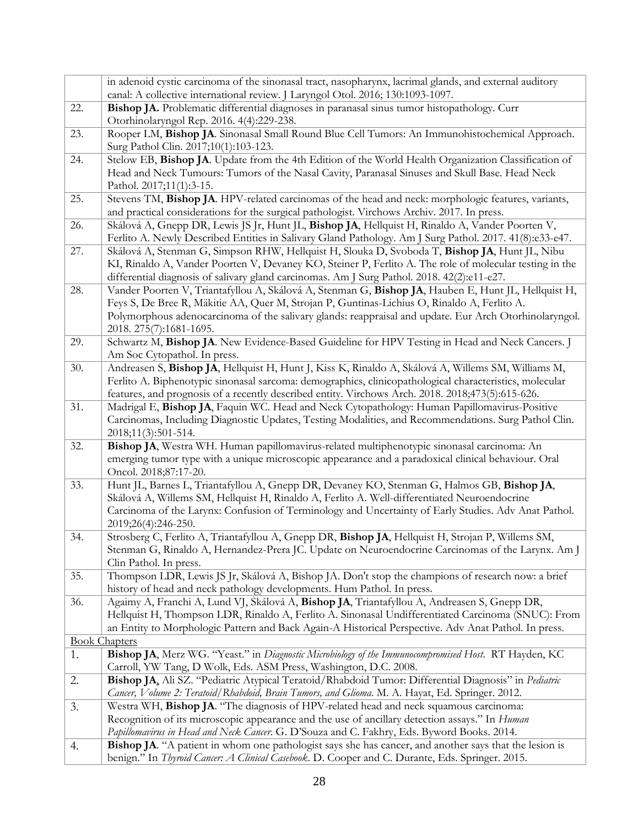|     | in adenoid cystic carcinoma of the sinonasal tract, nasopharynx, lacrimal glands, and external auditory<br>canal: A collective international review. J Laryngol Otol. 2016; 130:1093-1097. |
|-----|--------------------------------------------------------------------------------------------------------------------------------------------------------------------------------------------|
| 22. | Bishop JA. Problematic differential diagnoses in paranasal sinus tumor histopathology. Curr                                                                                                |
|     | Otorhinolaryngol Rep. 2016. 4(4):229-238.                                                                                                                                                  |
| 23. | Rooper LM, Bishop JA. Sinonasal Small Round Blue Cell Tumors: An Immunohistochemical Approach.                                                                                             |
|     | Surg Pathol Clin. 2017;10(1):103-123.                                                                                                                                                      |
| 24. | Stelow EB, Bishop JA. Update from the 4th Edition of the World Health Organization Classification of                                                                                       |
|     | Head and Neck Tumours: Tumors of the Nasal Cavity, Paranasal Sinuses and Skull Base. Head Neck                                                                                             |
|     | Pathol. 2017;11(1):3-15.                                                                                                                                                                   |
| 25. | Stevens TM, Bishop JA. HPV-related carcinomas of the head and neck: morphologic features, variants,                                                                                        |
|     | and practical considerations for the surgical pathologist. Virchows Archiv. 2017. In press.                                                                                                |
| 26. | Skálová A, Gnepp DR, Lewis JS Jr, Hunt JL, Bishop JA, Hellquist H, Rinaldo A, Vander Poorten V,                                                                                            |
|     | Ferlito A. Newly Described Entities in Salivary Gland Pathology. Am J Surg Pathol. 2017. 41(8):e33-e47.                                                                                    |
| 27. | Skálová A, Stenman G, Simpson RHW, Hellquist H, Slouka D, Svoboda T, Bishop JA, Hunt JL, Nibu                                                                                              |
|     | KI, Rinaldo A, Vander Poorten V, Devaney KO, Steiner P, Ferlito A. The role of molecular testing in the                                                                                    |
|     | differential diagnosis of salivary gland carcinomas. Am J Surg Pathol. 2018. 42(2):e11-e27.                                                                                                |
| 28. | Vander Poorten V, Triantafyllou A, Skálová A, Stenman G, Bishop JA, Hauben E, Hunt JL, Hellquist H,                                                                                        |
|     | Feys S, De Bree R, Mäkitie AA, Quer M, Strojan P, Guntinas-Lichius O, Rinaldo A, Ferlito A.                                                                                                |
|     | Polymorphous adenocarcinoma of the salivary glands: reappraisal and update. Eur Arch Otorhinolaryngol.                                                                                     |
|     | 2018. 275(7):1681-1695.                                                                                                                                                                    |
| 29. | Schwartz M, Bishop JA. New Evidence-Based Guideline for HPV Testing in Head and Neck Cancers. J                                                                                            |
|     | Am Soc Cytopathol. In press.                                                                                                                                                               |
| 30. | Andreasen S, Bishop JA, Hellquist H, Hunt J, Kiss K, Rinaldo A, Skálová A, Willems SM, Williams M,                                                                                         |
|     | Ferlito A. Biphenotypic sinonasal sarcoma: demographics, clinicopathological characteristics, molecular                                                                                    |
|     | features, and prognosis of a recently described entity. Virchows Arch. 2018, 2018; 473(5): 615-626.                                                                                        |
| 31. | Madrigal E, Bishop JA, Faquin WC. Head and Neck Cytopathology: Human Papillomavirus-Positive                                                                                               |
|     | Carcinomas, Including Diagnostic Updates, Testing Modalities, and Recommendations. Surg Pathol Clin.                                                                                       |
| 32. | 2018;11(3):501-514.<br>Bishop JA, Westra WH. Human papillomavirus-related multiphenotypic sinonasal carcinoma: An                                                                          |
|     | emerging tumor type with a unique microscopic appearance and a paradoxical clinical behaviour. Oral                                                                                        |
|     | Oncol. 2018;87:17-20.                                                                                                                                                                      |
| 33. | Hunt JL, Barnes L, Triantafyllou A, Gnepp DR, Devaney KO, Stenman G, Halmos GB, Bishop JA,                                                                                                 |
|     | Skálová A, Willems SM, Hellquist H, Rinaldo A, Ferlito A. Well-differentiated Neuroendocrine                                                                                               |
|     | Carcinoma of the Larynx: Confusion of Terminology and Uncertainty of Early Studies. Adv Anat Pathol.                                                                                       |
|     | 2019;26(4):246-250.                                                                                                                                                                        |
| 34. | Strosberg C, Ferlito A, Triantafyllou A, Gnepp DR, Bishop JA, Hellquist H, Strojan P, Willems SM,                                                                                          |
|     | Stenman G, Rinaldo A, Hernandez-Prera JC. Update on Neuroendocrine Carcinomas of the Larynx. Am J                                                                                          |
| 35. | Clin Pathol. In press.<br>Thompson LDR, Lewis JS Jr, Skálová A, Bishop JA. Don't stop the champions of research now: a brief                                                               |
|     | history of head and neck pathology developments. Hum Pathol. In press.                                                                                                                     |
| 36. | Agaimy A, Franchi A, Lund VJ, Skálová A, Bishop JA, Triantafyllou A, Andreasen S, Gnepp DR,                                                                                                |
|     | Hellquist H, Thompson LDR, Rinaldo A, Ferlito A. Sinonasal Undifferentiated Carcinoma (SNUC): From                                                                                         |
|     | an Entity to Morphologic Pattern and Back Again-A Historical Perspective. Adv Anat Pathol. In press.                                                                                       |
|     | <b>Book Chapters</b>                                                                                                                                                                       |
| 1.  | Bishop JA, Merz WG. "Yeast." in Diagnostic Microbiology of the Immunocompromised Host. RT Hayden, KC                                                                                       |
|     | Carroll, YW Tang, D Wolk, Eds. ASM Press, Washington, D.C. 2008.                                                                                                                           |
| 2.  | Bishop JA, Ali SZ. "Pediatric Atypical Teratoid/Rhabdoid Tumor: Differential Diagnosis" in Pediatric                                                                                       |
|     | Cancer, Volume 2: Teratoid/Rhabdoid, Brain Tumors, and Glioma. M. A. Hayat, Ed. Springer. 2012.                                                                                            |
| 3.  | Westra WH, Bishop JA. "The diagnosis of HPV-related head and neck squamous carcinoma:                                                                                                      |
|     | Recognition of its microscopic appearance and the use of ancillary detection assays." In <i>Human</i>                                                                                      |
|     | Papillomavirus in Head and Neck Cancer. G. D'Souza and C. Fakhry, Eds. Byword Books. 2014.                                                                                                 |
| 4.  | Bishop JA. "A patient in whom one pathologist says she has cancer, and another says that the lesion is                                                                                     |
|     | benign." In Thyroid Cancer: A Clinical Casebook. D. Cooper and C. Durante, Eds. Springer. 2015.                                                                                            |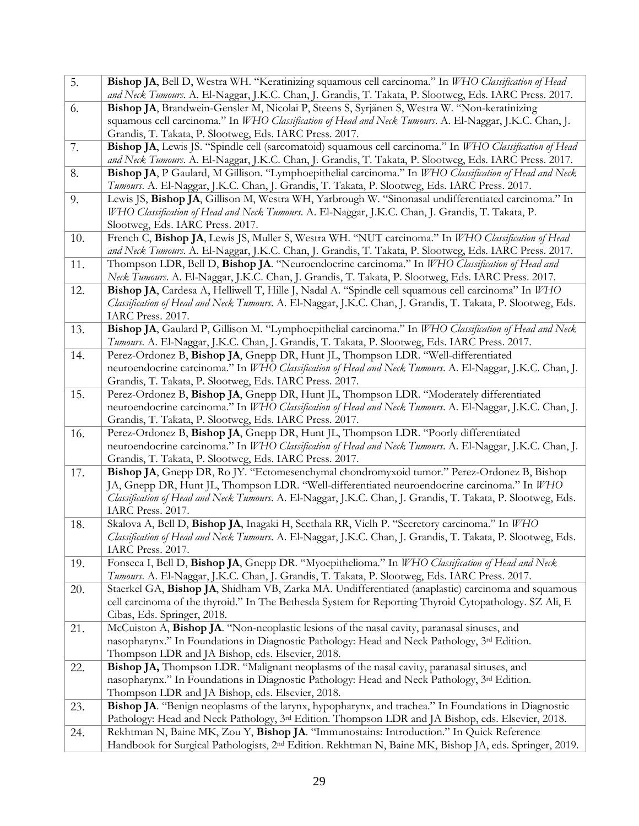| 5.  | Bishop JA, Bell D, Westra WH. "Keratinizing squamous cell carcinoma." In WHO Classification of Head                |
|-----|--------------------------------------------------------------------------------------------------------------------|
|     | and Neck Tumours. A. El-Naggar, J.K.C. Chan, J. Grandis, T. Takata, P. Slootweg, Eds. IARC Press. 2017.            |
| 6.  | Bishop JA, Brandwein-Gensler M, Nicolai P, Steens S, Syrjänen S, Westra W. "Non-keratinizing                       |
|     | squamous cell carcinoma." In WHO Classification of Head and Neck Tumours. A. El-Naggar, J.K.C. Chan, J.            |
|     | Grandis, T. Takata, P. Slootweg, Eds. IARC Press. 2017.                                                            |
| 7.  | Bishop JA, Lewis JS. "Spindle cell (sarcomatoid) squamous cell carcinoma." In WHO Classification of Head           |
|     | and Neck Tumours. A. El-Naggar, J.K.C. Chan, J. Grandis, T. Takata, P. Slootweg, Eds. IARC Press. 2017.            |
| 8.  | Bishop JA, P Gaulard, M Gillison. "Lymphoepithelial carcinoma." In WHO Classification of Head and Neck             |
|     | Tumours. A. El-Naggar, J.K.C. Chan, J. Grandis, T. Takata, P. Slootweg, Eds. IARC Press. 2017.                     |
| 9.  | Lewis JS, Bishop JA, Gillison M, Westra WH, Yarbrough W. "Sinonasal undifferentiated carcinoma." In                |
|     | WHO Classification of Head and Neck Tumours. A. El-Naggar, J.K.C. Chan, J. Grandis, T. Takata, P.                  |
|     | Slootweg, Eds. IARC Press. 2017.                                                                                   |
| 10. | French C, Bishop JA, Lewis JS, Muller S, Westra WH. "NUT carcinoma." In WHO Classification of Head                 |
|     | and Neck Tumours. A. El-Naggar, J.K.C. Chan, J. Grandis, T. Takata, P. Slootweg, Eds. IARC Press. 2017.            |
| 11. | Thompson LDR, Bell D, Bishop JA. "Neuroendocrine carcinoma." In WHO Classification of Head and                     |
|     | Neck Tumours. A. El-Naggar, J.K.C. Chan, J. Grandis, T. Takata, P. Slootweg, Eds. IARC Press. 2017.                |
| 12. | Bishop JA, Cardesa A, Helliwell T, Hille J, Nadal A. "Spindle cell squamous cell carcinoma" In WHO                 |
|     | Classification of Head and Neck Tumours. A. El-Naggar, J.K.C. Chan, J. Grandis, T. Takata, P. Slootweg, Eds.       |
|     | IARC Press. 2017.                                                                                                  |
| 13. | Bishop JA, Gaulard P, Gillison M. "Lymphoepithelial carcinoma." In WHO Classification of Head and Neck             |
|     | Tumours. A. El-Naggar, J.K.C. Chan, J. Grandis, T. Takata, P. Slootweg, Eds. IARC Press. 2017.                     |
| 14. | Perez-Ordonez B, Bishop JA, Gnepp DR, Hunt JL, Thompson LDR. "Well-differentiated                                  |
|     | neuroendocrine carcinoma." In WHO Classification of Head and Neck Tumours. A. El-Naggar, J.K.C. Chan, J.           |
|     | Grandis, T. Takata, P. Slootweg, Eds. IARC Press. 2017.                                                            |
| 15. | Perez-Ordonez B, Bishop JA, Gnepp DR, Hunt JL, Thompson LDR. "Moderately differentiated                            |
|     | neuroendocrine carcinoma." In WHO Classification of Head and Neck Tumours. A. El-Naggar, J.K.C. Chan, J.           |
|     | Grandis, T. Takata, P. Slootweg, Eds. IARC Press. 2017.                                                            |
| 16. | Perez-Ordonez B, Bishop JA, Gnepp DR, Hunt JL, Thompson LDR. "Poorly differentiated                                |
|     | neuroendocrine carcinoma." In WHO Classification of Head and Neck Tumours. A. El-Naggar, J.K.C. Chan, J.           |
|     | Grandis, T. Takata, P. Slootweg, Eds. IARC Press. 2017.                                                            |
| 17. | Bishop JA, Gnepp DR, Ro JY. "Ectomesenchymal chondromyxoid tumor." Perez-Ordonez B, Bishop                         |
|     | JA, Gnepp DR, Hunt JL, Thompson LDR. "Well-differentiated neuroendocrine carcinoma." In WHO                        |
|     | Classification of Head and Neck Tumours. A. El-Naggar, J.K.C. Chan, J. Grandis, T. Takata, P. Slootweg, Eds.       |
|     | IARC Press. 2017.                                                                                                  |
| 18. | Skalova A, Bell D, Bishop JA, Inagaki H, Seethala RR, Vielh P. "Secretory carcinoma." In WHO                       |
|     | Classification of Head and Neck Tumours. A. El-Naggar, J.K.C. Chan, J. Grandis, T. Takata, P. Slootweg, Eds.       |
|     | IARC Press. 2017.                                                                                                  |
| 19. | Fonseca I, Bell D, Bishop JA, Gnepp DR. "Myoepithelioma." In WHO Classification of Head and Neck                   |
|     | Tumours. A. El-Naggar, J.K.C. Chan, J. Grandis, T. Takata, P. Slootweg, Eds. IARC Press. 2017.                     |
| 20. | Staerkel GA, Bishop JA, Shidham VB, Zarka MA. Undifferentiated (anaplastic) carcinoma and squamous                 |
|     | cell carcinoma of the thyroid." In The Bethesda System for Reporting Thyroid Cytopathology. SZ Ali, E              |
|     | Cibas, Eds. Springer, 2018.                                                                                        |
| 21. | McCuiston A, Bishop JA. "Non-neoplastic lesions of the nasal cavity, paranasal sinuses, and                        |
|     | nasopharynx." In Foundations in Diagnostic Pathology: Head and Neck Pathology, 3rd Edition.                        |
|     | Thompson LDR and JA Bishop, eds. Elsevier, 2018.                                                                   |
| 22. | Bishop JA, Thompson LDR. "Malignant neoplasms of the nasal cavity, paranasal sinuses, and                          |
|     | nasopharynx." In Foundations in Diagnostic Pathology: Head and Neck Pathology, 3 <sup>rd</sup> Edition.            |
|     | Thompson LDR and JA Bishop, eds. Elsevier, 2018.                                                                   |
| 23. | Bishop JA. "Benign neoplasms of the larynx, hypopharynx, and trachea." In Foundations in Diagnostic                |
|     | Pathology: Head and Neck Pathology, 3rd Edition. Thompson LDR and JA Bishop, eds. Elsevier, 2018.                  |
| 24. | Rekhtman N, Baine MK, Zou Y, Bishop JA. "Immunostains: Introduction." In Quick Reference                           |
|     | Handbook for Surgical Pathologists, 2 <sup>nd</sup> Edition. Rekhtman N, Baine MK, Bishop JA, eds. Springer, 2019. |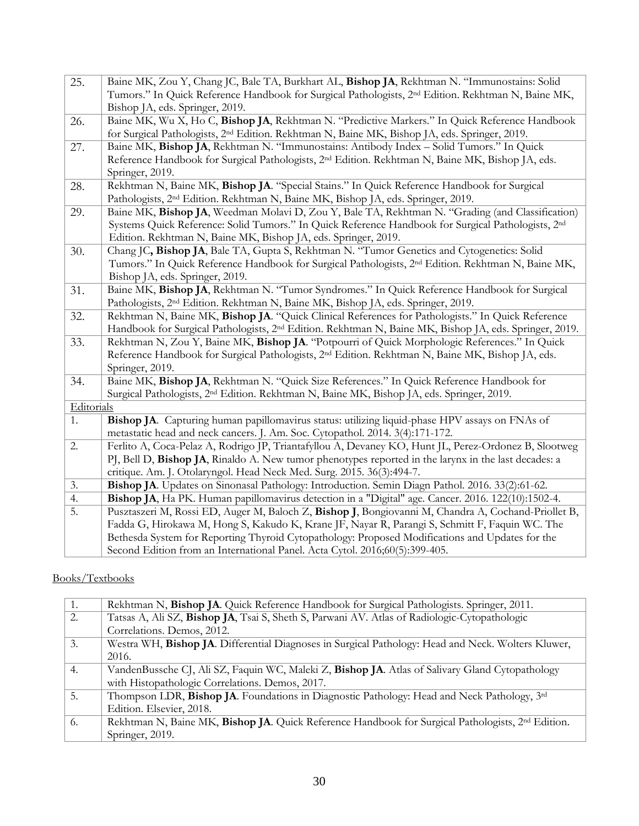| 25.        | Baine MK, Zou Y, Chang JC, Bale TA, Burkhart AL, Bishop JA, Rekhtman N. "Immunostains: Solid                       |
|------------|--------------------------------------------------------------------------------------------------------------------|
|            | Tumors." In Quick Reference Handbook for Surgical Pathologists, 2 <sup>nd</sup> Edition. Rekhtman N, Baine MK,     |
|            | Bishop JA, eds. Springer, 2019.                                                                                    |
| 26.        | Baine MK, Wu X, Ho C, Bishop JA, Rekhtman N. "Predictive Markers." In Quick Reference Handbook                     |
|            | for Surgical Pathologists, 2 <sup>nd</sup> Edition. Rekhtman N, Baine MK, Bishop JA, eds. Springer, 2019.          |
| 27.        | Baine MK, Bishop JA, Rekhtman N. "Immunostains: Antibody Index - Solid Tumors." In Quick                           |
|            | Reference Handbook for Surgical Pathologists, 2 <sup>nd</sup> Edition. Rekhtman N, Baine MK, Bishop JA, eds.       |
|            | Springer, 2019.                                                                                                    |
| 28.        | Rekhtman N, Baine MK, Bishop JA. "Special Stains." In Quick Reference Handbook for Surgical                        |
|            | Pathologists, 2 <sup>nd</sup> Edition. Rekhtman N, Baine MK, Bishop JA, eds. Springer, 2019.                       |
| 29.        | Baine MK, Bishop JA, Weedman Molavi D, Zou Y, Bale TA, Rekhtman N. "Grading (and Classification)                   |
|            | Systems Quick Reference: Solid Tumors." In Quick Reference Handbook for Surgical Pathologists, 2nd                 |
|            | Edition. Rekhtman N, Baine MK, Bishop JA, eds. Springer, 2019.                                                     |
| 30.        | Chang JC, Bishop JA, Bale TA, Gupta S, Rekhtman N. "Tumor Genetics and Cytogenetics: Solid                         |
|            | Tumors." In Quick Reference Handbook for Surgical Pathologists, 2 <sup>nd</sup> Edition. Rekhtman N, Baine MK,     |
|            | Bishop JA, eds. Springer, 2019.                                                                                    |
| 31.        | Baine MK, Bishop JA, Rekhtman N. "Tumor Syndromes." In Quick Reference Handbook for Surgical                       |
|            | Pathologists, 2 <sup>nd</sup> Edition. Rekhtman N, Baine MK, Bishop JA, eds. Springer, 2019.                       |
| 32.        | Rekhtman N, Baine MK, Bishop JA. "Quick Clinical References for Pathologists." In Quick Reference                  |
|            | Handbook for Surgical Pathologists, 2 <sup>nd</sup> Edition. Rekhtman N, Baine MK, Bishop JA, eds. Springer, 2019. |
| 33.        | Rekhtman N, Zou Y, Baine MK, Bishop JA. "Potpourri of Quick Morphologic References." In Quick                      |
|            | Reference Handbook for Surgical Pathologists, 2 <sup>nd</sup> Edition. Rekhtman N, Baine MK, Bishop JA, eds.       |
|            | Springer, 2019.                                                                                                    |
| 34.        | Baine MK, Bishop JA, Rekhtman N. "Quick Size References." In Quick Reference Handbook for                          |
|            | Surgical Pathologists, 2 <sup>nd</sup> Edition. Rekhtman N, Baine MK, Bishop JA, eds. Springer, 2019.              |
| Editorials |                                                                                                                    |
| 1.         | Bishop JA. Capturing human papillomavirus status: utilizing liquid-phase HPV assays on FNAs of                     |
|            | metastatic head and neck cancers. J. Am. Soc. Cytopathol. 2014. 3(4):171-172.                                      |
| 2.         | Ferlito A, Coca-Pelaz A, Rodrigo JP, Triantafyllou A, Devaney KO, Hunt JL, Perez-Ordonez B, Slootweg               |
|            | PJ, Bell D, Bishop JA, Rinaldo A. New tumor phenotypes reported in the larynx in the last decades: a               |
|            | critique. Am. J. Otolaryngol. Head Neck Med. Surg. 2015. 36(3):494-7.                                              |
| 3.         | Bishop JA. Updates on Sinonasal Pathology: Introduction. Semin Diagn Pathol. 2016. 33(2):61-62.                    |
| 4.         | Bishop JA, Ha PK. Human papillomavirus detection in a "Digital" age. Cancer. 2016. 122(10):1502-4.                 |
| 5.         | Pusztaszeri M, Rossi ED, Auger M, Baloch Z, Bishop J, Bongiovanni M, Chandra A, Cochand-Priollet B,                |
|            | Fadda G, Hirokawa M, Hong S, Kakudo K, Krane JF, Nayar R, Parangi S, Schmitt F, Faquin WC. The                     |
|            | Bethesda System for Reporting Thyroid Cytopathology: Proposed Modifications and Updates for the                    |
|            | Second Edition from an International Panel. Acta Cytol. 2016;60(5):399-405.                                        |

### Books/Textbooks

| 1. | Rekhtman N, Bishop JA. Quick Reference Handbook for Surgical Pathologists. Springer, 2011.                    |
|----|---------------------------------------------------------------------------------------------------------------|
| 2. | Tatsas A, Ali SZ, Bishop JA, Tsai S, Sheth S, Parwani AV. Atlas of Radiologic-Cytopathologic                  |
|    | Correlations. Demos, 2012.                                                                                    |
| 3. | Westra WH, Bishop JA. Differential Diagnoses in Surgical Pathology: Head and Neck. Wolters Kluwer,            |
|    | 2016.                                                                                                         |
| 4. | VandenBussche CJ, Ali SZ, Faquin WC, Maleki Z, Bishop JA. Atlas of Salivary Gland Cytopathology               |
|    | with Histopathologic Correlations. Demos, 2017.                                                               |
| 5. | Thompson LDR, Bishop JA. Foundations in Diagnostic Pathology: Head and Neck Pathology, 3 <sup>rd</sup>        |
|    | Edition. Elsevier, 2018.                                                                                      |
| 6. | Rekhtman N, Baine MK, Bishop JA. Quick Reference Handbook for Surgical Pathologists, 2 <sup>nd</sup> Edition. |
|    | Springer, 2019.                                                                                               |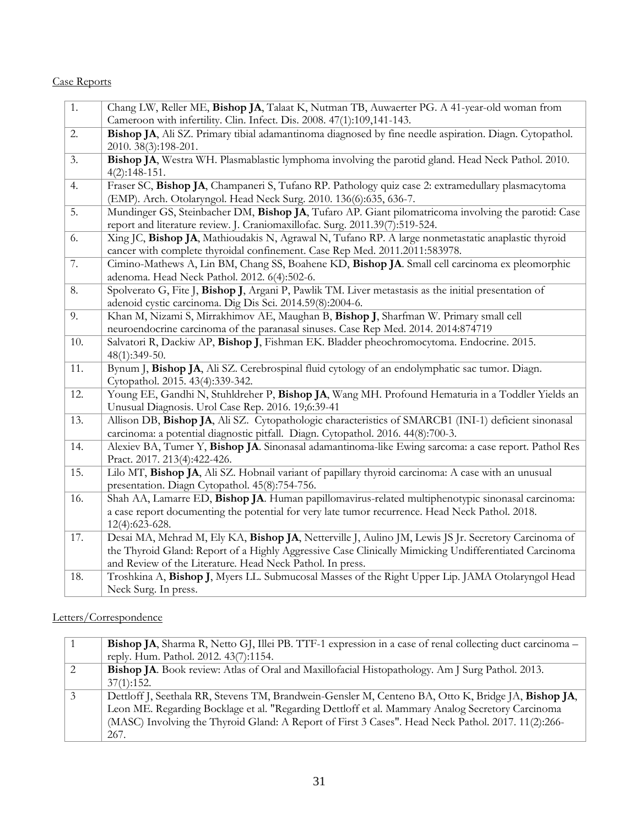#### Case Reports

| 1.  | Chang LW, Reller ME, Bishop JA, Talaat K, Nutman TB, Auwaerter PG. A 41-year-old woman from            |
|-----|--------------------------------------------------------------------------------------------------------|
|     | Cameroon with infertility. Clin. Infect. Dis. 2008. 47(1):109,141-143.                                 |
| 2.  | Bishop JA, Ali SZ. Primary tibial adamantinoma diagnosed by fine needle aspiration. Diagn. Cytopathol. |
|     | 2010. 38(3):198-201.                                                                                   |
| 3.  | Bishop JA, Westra WH. Plasmablastic lymphoma involving the parotid gland. Head Neck Pathol. 2010.      |
|     | $4(2):148-151.$                                                                                        |
| 4.  | Fraser SC, Bishop JA, Champaneri S, Tufano RP. Pathology quiz case 2: extramedullary plasmacytoma      |
|     | (EMP). Arch. Otolaryngol. Head Neck Surg. 2010. 136(6):635, 636-7.                                     |
| 5.  | Mundinger GS, Steinbacher DM, Bishop JA, Tufaro AP. Giant pilomatricoma involving the parotid: Case    |
|     | report and literature review. J. Craniomaxillofac. Surg. 2011.39(7):519-524.                           |
| 6.  | Xing JC, Bishop JA, Mathioudakis N, Agrawal N, Tufano RP. A large nonmetastatic anaplastic thyroid     |
|     | cancer with complete thyroidal confinement. Case Rep Med. 2011.2011:583978.                            |
| 7.  | Cimino-Mathews A, Lin BM, Chang SS, Boahene KD, Bishop JA. Small cell carcinoma ex pleomorphic         |
|     | adenoma. Head Neck Pathol. 2012. 6(4):502-6.                                                           |
| 8.  | Spolverato G, Fite J, Bishop J, Argani P, Pawlik TM. Liver metastasis as the initial presentation of   |
|     | adenoid cystic carcinoma. Dig Dis Sci. 2014.59(8):2004-6.                                              |
| 9.  | Khan M, Nizami S, Mirrakhimov AE, Maughan B, Bishop J, Sharfman W. Primary small cell                  |
|     | neuroendocrine carcinoma of the paranasal sinuses. Case Rep Med. 2014. 2014:874719                     |
| 10. | Salvatori R, Dackiw AP, Bishop J, Fishman EK. Bladder pheochromocytoma. Endocrine. 2015.               |
|     | 48(1):349-50.                                                                                          |
| 11. | Bynum J, Bishop JA, Ali SZ. Cerebrospinal fluid cytology of an endolymphatic sac tumor. Diagn.         |
|     | Cytopathol. 2015. 43(4):339-342.                                                                       |
| 12. | Young EE, Gandhi N, Stuhldreher P, Bishop JA, Wang MH. Profound Hematuria in a Toddler Yields an       |
|     | Unusual Diagnosis. Urol Case Rep. 2016. 19;6:39-41                                                     |
| 13. | Allison DB, Bishop JA, Ali SZ. Cytopathologic characteristics of SMARCB1 (INI-1) deficient sinonasal   |
|     | carcinoma: a potential diagnostic pitfall. Diagn. Cytopathol. 2016. 44(8):700-3.                       |
| 14. | Alexiev BA, Tumer Y, Bishop JA. Sinonasal adamantinoma-like Ewing sarcoma: a case report. Pathol Res   |
|     | Pract. 2017. 213(4):422-426.                                                                           |
| 15. | Lilo MT, Bishop JA, Ali SZ. Hobnail variant of papillary thyroid carcinoma: A case with an unusual     |
|     | presentation. Diagn Cytopathol. 45(8):754-756.                                                         |
| 16. | Shah AA, Lamarre ED, Bishop JA. Human papillomavirus-related multiphenotypic sinonasal carcinoma:      |
|     | a case report documenting the potential for very late tumor recurrence. Head Neck Pathol. 2018.        |
|     | 12(4):623-628.                                                                                         |
| 17. | Desai MA, Mehrad M, Ely KA, Bishop JA, Netterville J, Aulino JM, Lewis JS Jr. Secretory Carcinoma of   |
|     | the Thyroid Gland: Report of a Highly Aggressive Case Clinically Mimicking Undifferentiated Carcinoma  |
|     | and Review of the Literature. Head Neck Pathol. In press.                                              |
| 18. | Troshkina A, Bishop J, Myers LL. Submucosal Masses of the Right Upper Lip. JAMA Otolaryngol Head       |
|     | Neck Surg. In press.                                                                                   |

# Letters/Correspondence

| $\overline{1}$ | Bishop JA, Sharma R, Netto GJ, Illei PB. TTF-1 expression in a case of renal collecting duct carcinoma – |
|----------------|----------------------------------------------------------------------------------------------------------|
|                | reply. Hum. Pathol. 2012. 43(7):1154.                                                                    |
| 2              | Bishop JA. Book review: Atlas of Oral and Maxillofacial Histopathology. Am J Surg Pathol. 2013.          |
|                | 37(1):152.                                                                                               |
| 3              | Dettloff J, Seethala RR, Stevens TM, Brandwein-Gensler M, Centeno BA, Otto K, Bridge JA, Bishop JA,      |
|                | Leon ME. Regarding Bocklage et al. "Regarding Dettloff et al. Mammary Analog Secretory Carcinoma         |
|                | (MASC) Involving the Thyroid Gland: A Report of First 3 Cases". Head Neck Pathol. 2017. 11(2):266-       |
|                | 267.                                                                                                     |